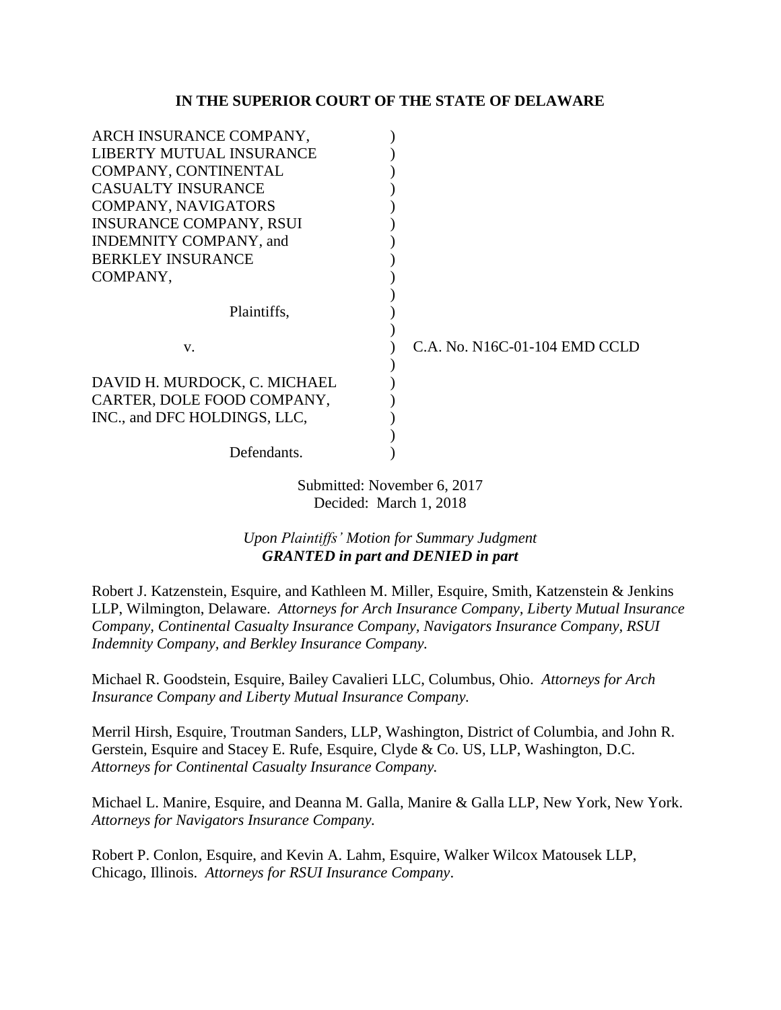#### **IN THE SUPERIOR COURT OF THE STATE OF DELAWARE**

| ARCH INSURANCE COMPANY,        |                               |
|--------------------------------|-------------------------------|
| LIBERTY MUTUAL INSURANCE       |                               |
| COMPANY, CONTINENTAL           |                               |
| <b>CASUALTY INSURANCE</b>      |                               |
| COMPANY, NAVIGATORS            |                               |
| <b>INSURANCE COMPANY, RSUI</b> |                               |
| INDEMNITY COMPANY, and         |                               |
| <b>BERKLEY INSURANCE</b>       |                               |
| COMPANY,                       |                               |
|                                |                               |
| Plaintiffs.                    |                               |
|                                |                               |
| V.                             | C.A. No. N16C-01-104 EMD CCLD |
|                                |                               |
| DAVID H. MURDOCK, C. MICHAEL   |                               |
| CARTER, DOLE FOOD COMPANY,     |                               |
| INC., and DFC HOLDINGS, LLC,   |                               |
|                                |                               |
| Defendants.                    |                               |

Submitted: November 6, 2017 Decided: March 1, 2018

# *Upon Plaintiffs' Motion for Summary Judgment GRANTED in part and DENIED in part*

Robert J. Katzenstein, Esquire, and Kathleen M. Miller, Esquire, Smith, Katzenstein & Jenkins LLP, Wilmington, Delaware. *Attorneys for Arch Insurance Company, Liberty Mutual Insurance Company, Continental Casualty Insurance Company, Navigators Insurance Company, RSUI Indemnity Company, and Berkley Insurance Company.*

Michael R. Goodstein, Esquire, Bailey Cavalieri LLC, Columbus, Ohio. *Attorneys for Arch Insurance Company and Liberty Mutual Insurance Company.*

Merril Hirsh, Esquire, Troutman Sanders, LLP, Washington, District of Columbia, and John R. Gerstein, Esquire and Stacey E. Rufe, Esquire, Clyde & Co. US, LLP, Washington, D.C. *Attorneys for Continental Casualty Insurance Company.*

Michael L. Manire, Esquire, and Deanna M. Galla, Manire & Galla LLP, New York, New York. *Attorneys for Navigators Insurance Company.*

Robert P. Conlon, Esquire, and Kevin A. Lahm, Esquire, Walker Wilcox Matousek LLP, Chicago, Illinois. *Attorneys for RSUI Insurance Company*.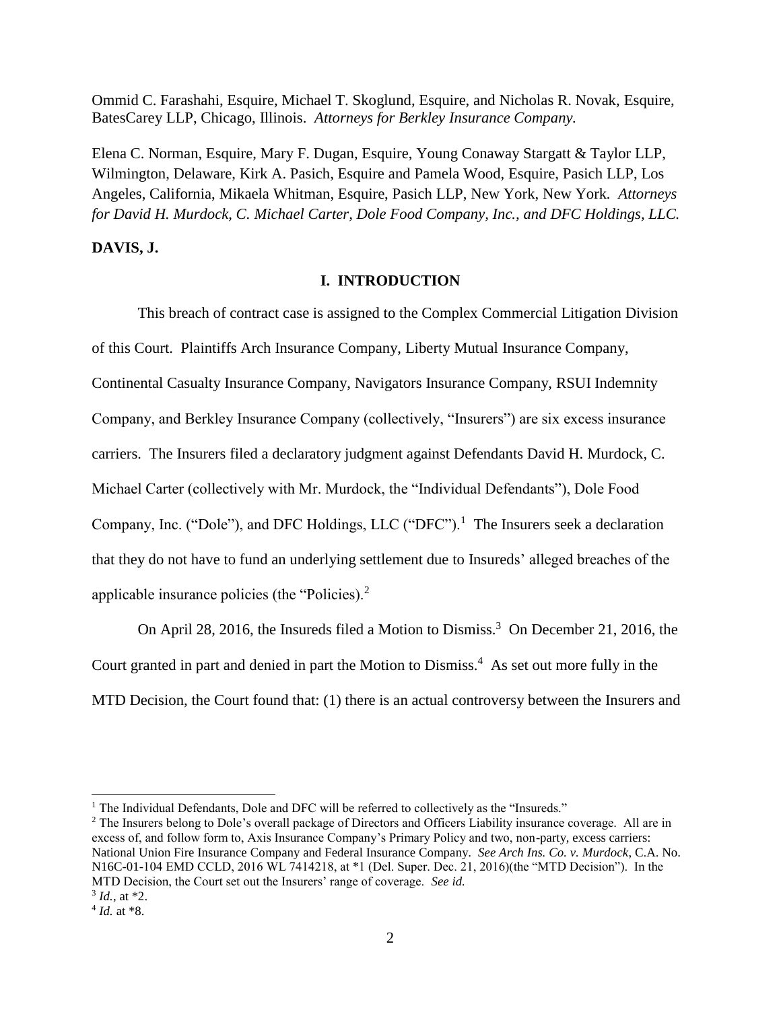Ommid C. Farashahi, Esquire, Michael T. Skoglund, Esquire, and Nicholas R. Novak, Esquire, BatesCarey LLP, Chicago, Illinois. *Attorneys for Berkley Insurance Company.*

Elena C. Norman, Esquire, Mary F. Dugan, Esquire, Young Conaway Stargatt & Taylor LLP, Wilmington, Delaware, Kirk A. Pasich, Esquire and Pamela Wood, Esquire, Pasich LLP, Los Angeles, California, Mikaela Whitman, Esquire, Pasich LLP, New York, New York*. Attorneys for David H. Murdock, C. Michael Carter, Dole Food Company, Inc., and DFC Holdings, LLC.*

## **DAVIS, J.**

### **I. INTRODUCTION**

This breach of contract case is assigned to the Complex Commercial Litigation Division of this Court. Plaintiffs Arch Insurance Company, Liberty Mutual Insurance Company, Continental Casualty Insurance Company, Navigators Insurance Company, RSUI Indemnity Company, and Berkley Insurance Company (collectively, "Insurers") are six excess insurance carriers. The Insurers filed a declaratory judgment against Defendants David H. Murdock, C. Michael Carter (collectively with Mr. Murdock, the "Individual Defendants"), Dole Food Company, Inc. ("Dole"), and DFC Holdings, LLC ("DFC").<sup>1</sup> The Insurers seek a declaration that they do not have to fund an underlying settlement due to Insureds' alleged breaches of the applicable insurance policies (the "Policies).<sup>2</sup>

On April 28, 2016, the Insureds filed a Motion to Dismiss.<sup>3</sup> On December 21, 2016, the Court granted in part and denied in part the Motion to Dismiss.<sup>4</sup> As set out more fully in the MTD Decision, the Court found that: (1) there is an actual controversy between the Insurers and

<sup>&</sup>lt;sup>1</sup> The Individual Defendants, Dole and DFC will be referred to collectively as the "Insureds."

<sup>&</sup>lt;sup>2</sup> The Insurers belong to Dole's overall package of Directors and Officers Liability insurance coverage. All are in excess of, and follow form to, Axis Insurance Company's Primary Policy and two, non-party, excess carriers: National Union Fire Insurance Company and Federal Insurance Company. *See Arch Ins. Co. v. Murdock*, C.A. No. N16C-01-104 EMD CCLD, 2016 WL 7414218, at \*1 (Del. Super. Dec. 21, 2016)(the "MTD Decision"). In the MTD Decision, the Court set out the Insurers' range of coverage. *See id.*

 $3$  *Id.*, at  $*2$ .

<sup>4</sup> *Id.* at \*8.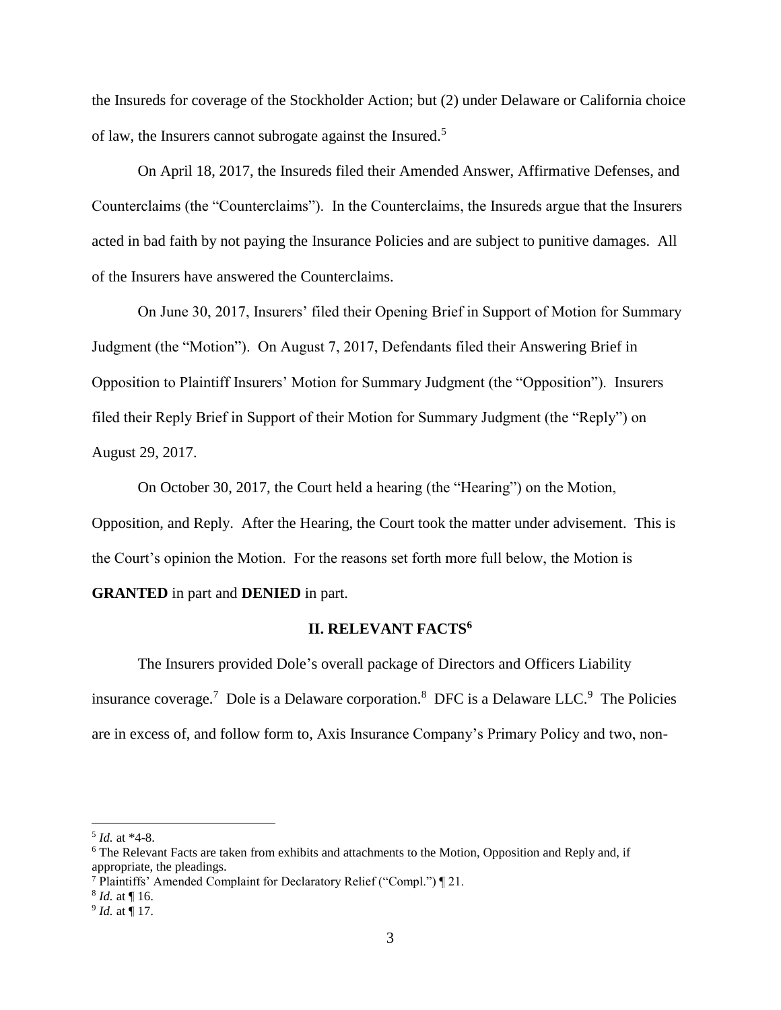the Insureds for coverage of the Stockholder Action; but (2) under Delaware or California choice of law, the Insurers cannot subrogate against the Insured.<sup>5</sup>

On April 18, 2017, the Insureds filed their Amended Answer, Affirmative Defenses, and Counterclaims (the "Counterclaims"). In the Counterclaims, the Insureds argue that the Insurers acted in bad faith by not paying the Insurance Policies and are subject to punitive damages. All of the Insurers have answered the Counterclaims.

On June 30, 2017, Insurers' filed their Opening Brief in Support of Motion for Summary Judgment (the "Motion"). On August 7, 2017, Defendants filed their Answering Brief in Opposition to Plaintiff Insurers' Motion for Summary Judgment (the "Opposition"). Insurers filed their Reply Brief in Support of their Motion for Summary Judgment (the "Reply") on August 29, 2017.

On October 30, 2017, the Court held a hearing (the "Hearing") on the Motion, Opposition, and Reply. After the Hearing, the Court took the matter under advisement. This is the Court's opinion the Motion. For the reasons set forth more full below, the Motion is **GRANTED** in part and **DENIED** in part.

#### **II. RELEVANT FACTS<sup>6</sup>**

The Insurers provided Dole's overall package of Directors and Officers Liability insurance coverage.<sup>7</sup> Dole is a Delaware corporation.<sup>8</sup> DFC is a Delaware LLC.<sup>9</sup> The Policies are in excess of, and follow form to, Axis Insurance Company's Primary Policy and two, non-

l

8 *Id.* at ¶ 16.

<sup>5</sup> *Id.* at \*4-8.

<sup>6</sup> The Relevant Facts are taken from exhibits and attachments to the Motion, Opposition and Reply and, if appropriate, the pleadings.

<sup>7</sup> Plaintiffs' Amended Complaint for Declaratory Relief ("Compl.") ¶ 21.

<sup>9</sup> *Id.* at ¶ 17.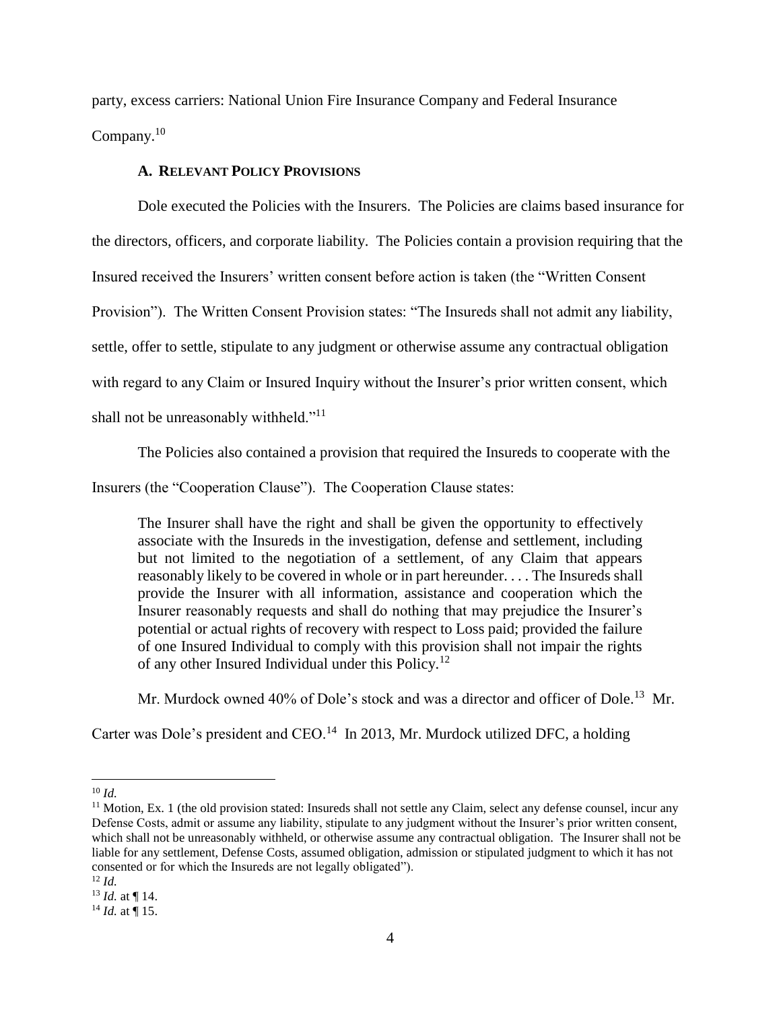party, excess carriers: National Union Fire Insurance Company and Federal Insurance Company. $10$ 

### **A. RELEVANT POLICY PROVISIONS**

Dole executed the Policies with the Insurers. The Policies are claims based insurance for the directors, officers, and corporate liability. The Policies contain a provision requiring that the Insured received the Insurers' written consent before action is taken (the "Written Consent Provision"). The Written Consent Provision states: "The Insureds shall not admit any liability, settle, offer to settle, stipulate to any judgment or otherwise assume any contractual obligation with regard to any Claim or Insured Inquiry without the Insurer's prior written consent, which shall not be unreasonably withheld."<sup>11</sup>

The Policies also contained a provision that required the Insureds to cooperate with the

Insurers (the "Cooperation Clause"). The Cooperation Clause states:

The Insurer shall have the right and shall be given the opportunity to effectively associate with the Insureds in the investigation, defense and settlement, including but not limited to the negotiation of a settlement, of any Claim that appears reasonably likely to be covered in whole or in part hereunder. . . . The Insureds shall provide the Insurer with all information, assistance and cooperation which the Insurer reasonably requests and shall do nothing that may prejudice the Insurer's potential or actual rights of recovery with respect to Loss paid; provided the failure of one Insured Individual to comply with this provision shall not impair the rights of any other Insured Individual under this Policy.<sup>12</sup>

Mr. Murdock owned 40% of Dole's stock and was a director and officer of Dole.<sup>13</sup> Mr.

Carter was Dole's president and CEO.<sup>14</sup> In 2013, Mr. Murdock utilized DFC, a holding

<sup>10</sup> *Id.*

<sup>&</sup>lt;sup>11</sup> Motion, Ex. 1 (the old provision stated: Insureds shall not settle any Claim, select any defense counsel, incur any Defense Costs, admit or assume any liability, stipulate to any judgment without the Insurer's prior written consent, which shall not be unreasonably withheld, or otherwise assume any contractual obligation. The Insurer shall not be liable for any settlement, Defense Costs, assumed obligation, admission or stipulated judgment to which it has not consented or for which the Insureds are not legally obligated").

 $12$  *Id.* 

<sup>13</sup> *Id.* at ¶ 14.

 $^{14}$  *Id.* at  $\overline{9}$  15.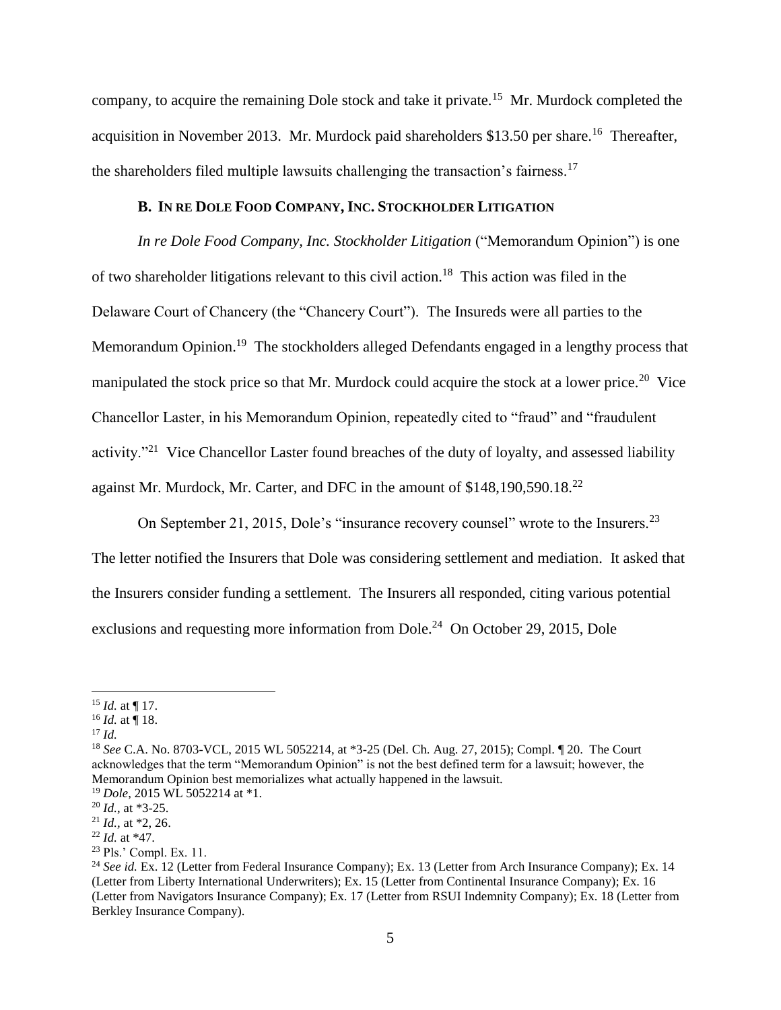company, to acquire the remaining Dole stock and take it private.<sup>15</sup> Mr. Murdock completed the acquisition in November 2013. Mr. Murdock paid shareholders \$13.50 per share.<sup>16</sup> Thereafter, the shareholders filed multiple lawsuits challenging the transaction's fairness.<sup>17</sup>

## **B. IN RE DOLE FOOD COMPANY, INC. STOCKHOLDER LITIGATION**

*In re Dole Food Company, Inc. Stockholder Litigation* ("Memorandum Opinion") is one of two shareholder litigations relevant to this civil action.<sup>18</sup> This action was filed in the Delaware Court of Chancery (the "Chancery Court"). The Insureds were all parties to the Memorandum Opinion.<sup>19</sup> The stockholders alleged Defendants engaged in a lengthy process that manipulated the stock price so that Mr. Murdock could acquire the stock at a lower price.<sup>20</sup> Vice Chancellor Laster, in his Memorandum Opinion, repeatedly cited to "fraud" and "fraudulent activity."<sup>21</sup> Vice Chancellor Laster found breaches of the duty of loyalty, and assessed liability against Mr. Murdock, Mr. Carter, and DFC in the amount of  $$148,190,590.18<sup>22</sup>$ 

On September 21, 2015, Dole's "insurance recovery counsel" wrote to the Insurers.<sup>23</sup>

The letter notified the Insurers that Dole was considering settlement and mediation. It asked that the Insurers consider funding a settlement. The Insurers all responded, citing various potential exclusions and requesting more information from Dole.<sup>24</sup> On October 29, 2015, Dole

<sup>17</sup> *Id.*

l

 $15$  *Id.* at ¶ 17.

 $^{16}$  *Id.* at  $\frac{1}{9}$  18.

<sup>18</sup> *See* C.A. No. 8703-VCL, 2015 WL 5052214, at \*3-25 (Del. Ch. Aug. 27, 2015); Compl. ¶ 20. The Court acknowledges that the term "Memorandum Opinion" is not the best defined term for a lawsuit; however, the Memorandum Opinion best memorializes what actually happened in the lawsuit.

<sup>19</sup> *Dole*, 2015 WL 5052214 at \*1.

<sup>20</sup> *Id.*, at \*3-25.

<sup>21</sup> *Id.,* at \*2, 26.

<sup>22</sup> *Id.* at \*47.

<sup>23</sup> Pls.' Compl. Ex. 11.

<sup>&</sup>lt;sup>24</sup> *See id.* Ex. 12 (Letter from Federal Insurance Company); Ex. 13 (Letter from Arch Insurance Company); Ex. 14 (Letter from Liberty International Underwriters); Ex. 15 (Letter from Continental Insurance Company); Ex. 16 (Letter from Navigators Insurance Company); Ex. 17 (Letter from RSUI Indemnity Company); Ex. 18 (Letter from Berkley Insurance Company).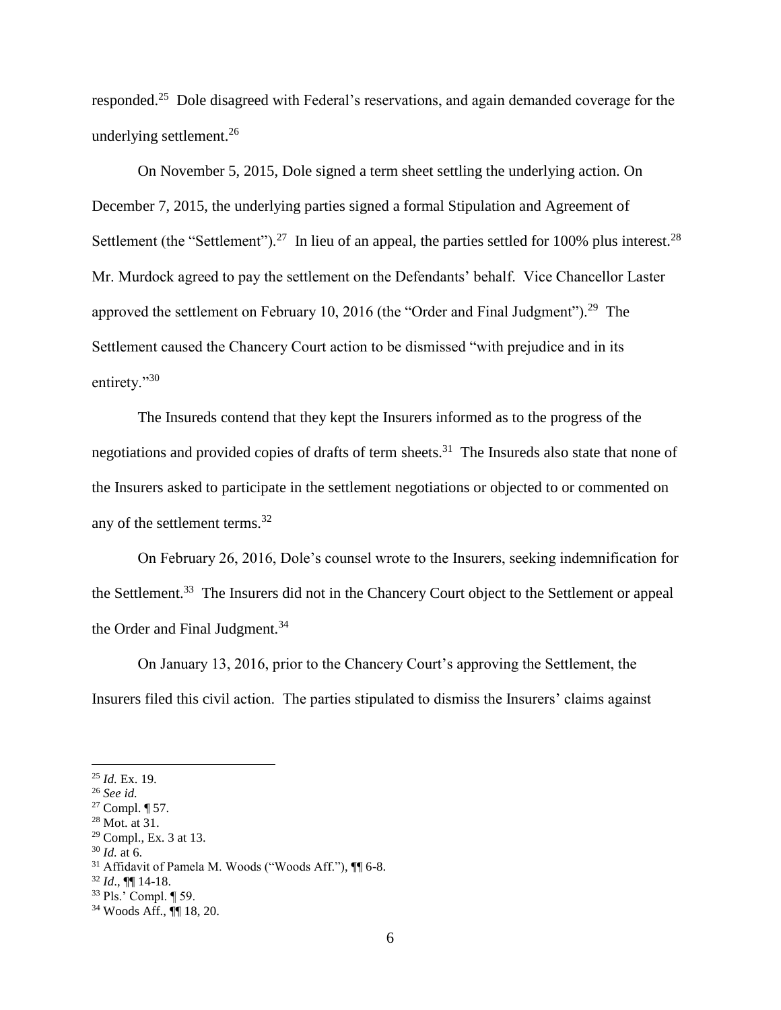responded.<sup>25</sup> Dole disagreed with Federal's reservations, and again demanded coverage for the underlying settlement.<sup>26</sup>

On November 5, 2015, Dole signed a term sheet settling the underlying action. On December 7, 2015, the underlying parties signed a formal Stipulation and Agreement of Settlement (the "Settlement").<sup>27</sup> In lieu of an appeal, the parties settled for 100% plus interest.<sup>28</sup> Mr. Murdock agreed to pay the settlement on the Defendants' behalf. Vice Chancellor Laster approved the settlement on February 10, 2016 (the "Order and Final Judgment").<sup>29</sup> The Settlement caused the Chancery Court action to be dismissed "with prejudice and in its entirety."30

The Insureds contend that they kept the Insurers informed as to the progress of the negotiations and provided copies of drafts of term sheets.<sup>31</sup> The Insureds also state that none of the Insurers asked to participate in the settlement negotiations or objected to or commented on any of the settlement terms.<sup>32</sup>

On February 26, 2016, Dole's counsel wrote to the Insurers, seeking indemnification for the Settlement.<sup>33</sup> The Insurers did not in the Chancery Court object to the Settlement or appeal the Order and Final Judgment.<sup>34</sup>

On January 13, 2016, prior to the Chancery Court's approving the Settlement, the Insurers filed this civil action. The parties stipulated to dismiss the Insurers' claims against

 $\overline{\phantom{a}}$ 

 $30$  *Id.* at 6.

<sup>25</sup> *Id.* Ex. 19.

<sup>26</sup> *See id.*

<sup>27</sup> Compl. ¶ 57.

 $28$  Mot. at  $31$ .

<sup>29</sup> Compl., Ex. 3 at 13.

<sup>&</sup>lt;sup>31</sup> Affidavit of Pamela M. Woods ("Woods Aff."),  $\P$  6-8.

<sup>32</sup> *Id*., ¶¶ 14-18.

<sup>33</sup> Pls.' Compl. ¶ 59.

<sup>34</sup> Woods Aff., ¶¶ 18, 20.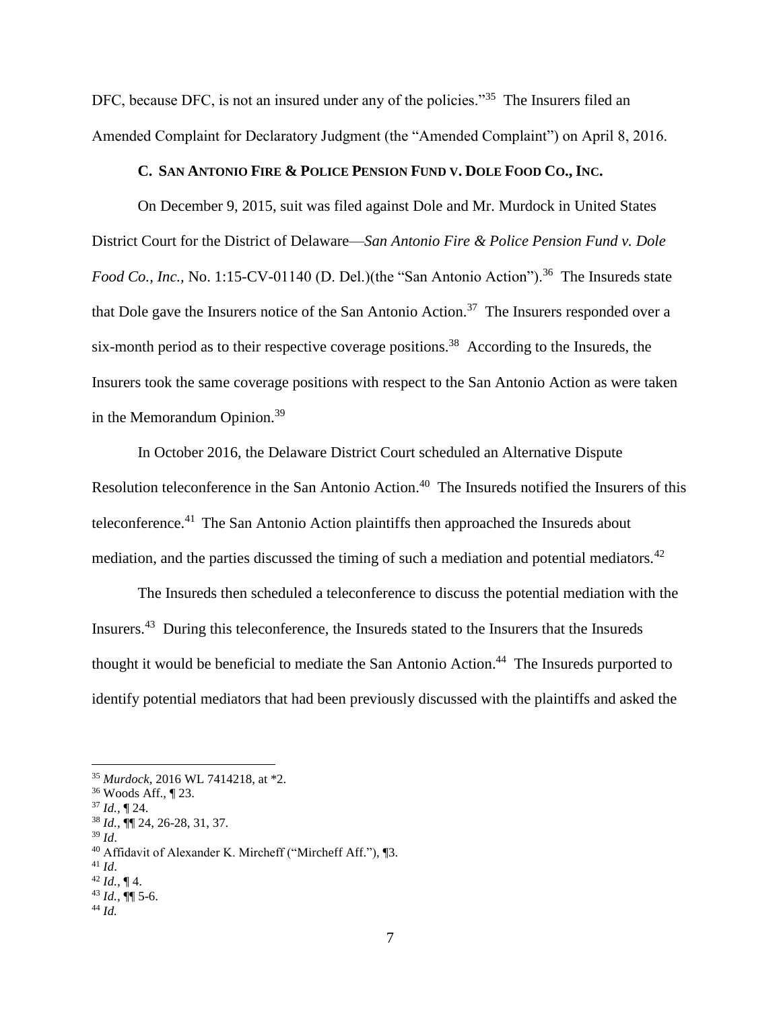DFC, because DFC, is not an insured under any of the policies."<sup>35</sup> The Insurers filed an Amended Complaint for Declaratory Judgment (the "Amended Complaint") on April 8, 2016.

### C. SAN ANTONIO FIRE & POLICE PENSION FUND V. DOLE FOOD CO., INC.

On December 9, 2015, suit was filed against Dole and Mr. Murdock in United States District Court for the District of Delaware—*San Antonio Fire & Police Pension Fund v. Dole Food Co., Inc., No.* 1:15-CV-01140 (D. Del.)(the "San Antonio Action").<sup>36</sup> The Insureds state that Dole gave the Insurers notice of the San Antonio Action.<sup>37</sup> The Insurers responded over a six-month period as to their respective coverage positions.<sup>38</sup> According to the Insureds, the Insurers took the same coverage positions with respect to the San Antonio Action as were taken in the Memorandum Opinion.<sup>39</sup>

In October 2016, the Delaware District Court scheduled an Alternative Dispute Resolution teleconference in the San Antonio Action.<sup>40</sup> The Insureds notified the Insurers of this teleconference.<sup>41</sup> The San Antonio Action plaintiffs then approached the Insureds about mediation, and the parties discussed the timing of such a mediation and potential mediators.<sup>42</sup>

The Insureds then scheduled a teleconference to discuss the potential mediation with the Insurers.<sup>43</sup> During this teleconference, the Insureds stated to the Insurers that the Insureds thought it would be beneficial to mediate the San Antonio Action.<sup>44</sup> The Insureds purported to identify potential mediators that had been previously discussed with the plaintiffs and asked the

<sup>37</sup> *Id.,* ¶ 24.

<sup>39</sup> *Id*.

<sup>41</sup> *Id*.

<sup>35</sup> *Murdock*, 2016 WL 7414218, at \*2.

<sup>36</sup> Woods Aff., ¶ 23.

<sup>38</sup> *Id.,* ¶¶ 24, 26-28, 31, 37.

<sup>40</sup> Affidavit of Alexander K. Mircheff ("Mircheff Aff."), ¶3.

 $42$  *Id.*, ¶ 4.

<sup>43</sup> *Id.,* ¶¶ 5-6.

<sup>44</sup> *Id.*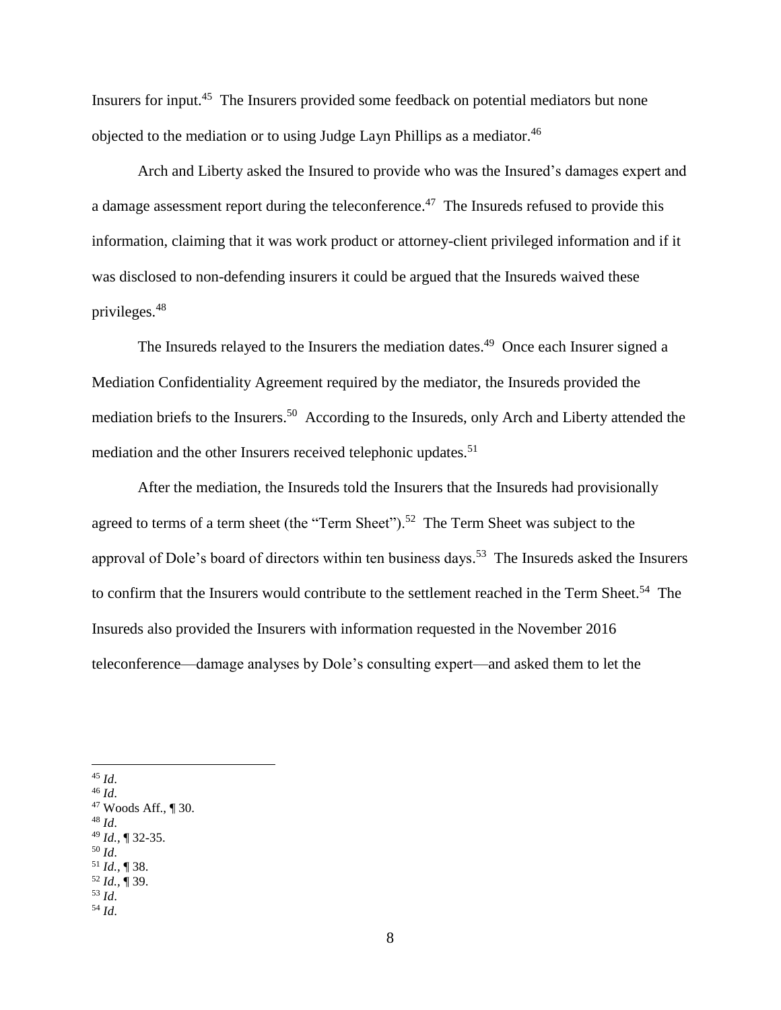Insurers for input.<sup>45</sup> The Insurers provided some feedback on potential mediators but none objected to the mediation or to using Judge Layn Phillips as a mediator.<sup>46</sup>

Arch and Liberty asked the Insured to provide who was the Insured's damages expert and a damage assessment report during the teleconference.<sup>47</sup> The Insureds refused to provide this information, claiming that it was work product or attorney-client privileged information and if it was disclosed to non-defending insurers it could be argued that the Insureds waived these privileges.<sup>48</sup>

The Insureds relayed to the Insurers the mediation dates.<sup>49</sup> Once each Insurer signed a Mediation Confidentiality Agreement required by the mediator, the Insureds provided the mediation briefs to the Insurers.<sup>50</sup> According to the Insureds, only Arch and Liberty attended the mediation and the other Insurers received telephonic updates.<sup>51</sup>

After the mediation, the Insureds told the Insurers that the Insureds had provisionally agreed to terms of a term sheet (the "Term Sheet").<sup>52</sup> The Term Sheet was subject to the approval of Dole's board of directors within ten business days.<sup>53</sup> The Insureds asked the Insurers to confirm that the Insurers would contribute to the settlement reached in the Term Sheet.<sup>54</sup> The Insureds also provided the Insurers with information requested in the November 2016 teleconference—damage analyses by Dole's consulting expert—and asked them to let the

- <sup>48</sup> *Id*.
- <sup>49</sup> *Id.,* ¶ 32-35.
- <sup>50</sup> *Id*.
- <sup>51</sup> *Id.,* ¶ 38. <sup>52</sup> *Id.,* ¶ 39.
- <sup>53</sup> *Id*.
- <sup>54</sup> *Id*.

 $\overline{\phantom{a}}$ <sup>45</sup> *Id*.

<sup>46</sup> *Id*.

<sup>47</sup> Woods Aff., ¶ 30.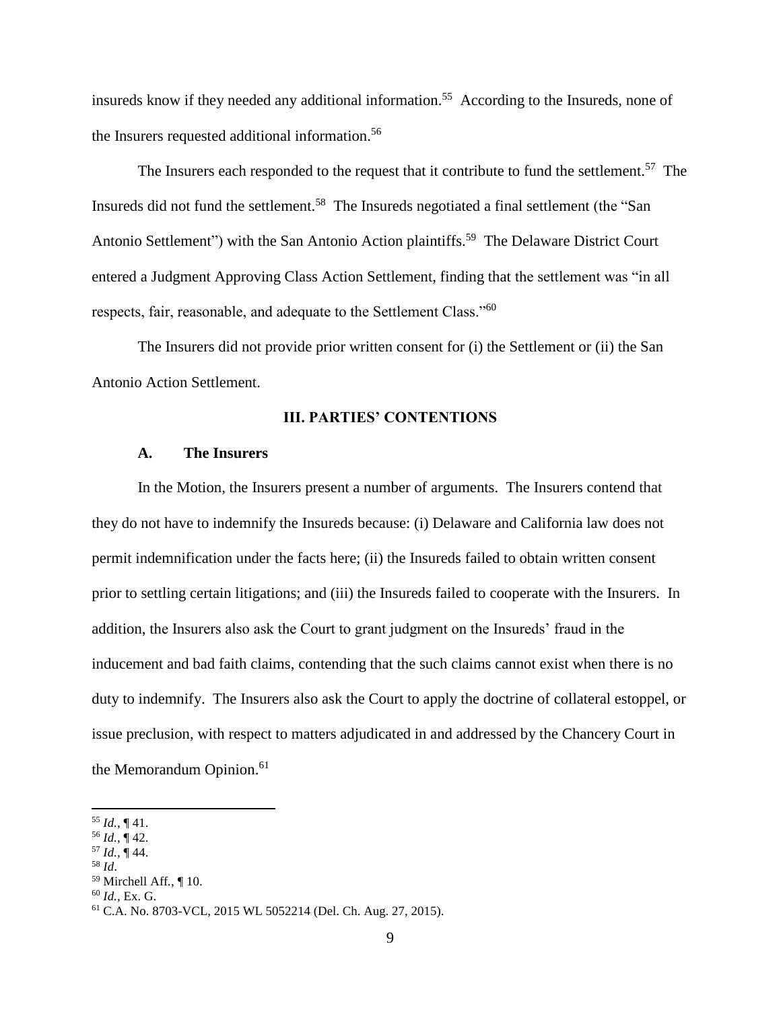insureds know if they needed any additional information.<sup>55</sup> According to the Insureds, none of the Insurers requested additional information.<sup>56</sup>

The Insurers each responded to the request that it contribute to fund the settlement.<sup>57</sup> The Insureds did not fund the settlement.<sup>58</sup> The Insureds negotiated a final settlement (the "San Antonio Settlement") with the San Antonio Action plaintiffs.<sup>59</sup> The Delaware District Court entered a Judgment Approving Class Action Settlement, finding that the settlement was "in all respects, fair, reasonable, and adequate to the Settlement Class."<sup>60</sup>

The Insurers did not provide prior written consent for (i) the Settlement or (ii) the San Antonio Action Settlement.

#### **III. PARTIES' CONTENTIONS**

#### **A. The Insurers**

In the Motion, the Insurers present a number of arguments. The Insurers contend that they do not have to indemnify the Insureds because: (i) Delaware and California law does not permit indemnification under the facts here; (ii) the Insureds failed to obtain written consent prior to settling certain litigations; and (iii) the Insureds failed to cooperate with the Insurers. In addition, the Insurers also ask the Court to grant judgment on the Insureds' fraud in the inducement and bad faith claims, contending that the such claims cannot exist when there is no duty to indemnify. The Insurers also ask the Court to apply the doctrine of collateral estoppel, or issue preclusion, with respect to matters adjudicated in and addressed by the Chancery Court in the Memorandum Opinion.<sup>61</sup>

 $57$  *Id.*,  $\frac{1}{9}$  44.

 $\overline{\phantom{a}}$ 

<sup>60</sup> *Id.,* Ex. G.

<sup>55</sup> *Id.,* ¶ 41.

<sup>56</sup> *Id.,* ¶ 42.

<sup>58</sup> *Id*.

<sup>59</sup> Mirchell Aff*.*, ¶ 10.

<sup>61</sup> C.A. No. 8703-VCL, 2015 WL 5052214 (Del. Ch. Aug. 27, 2015).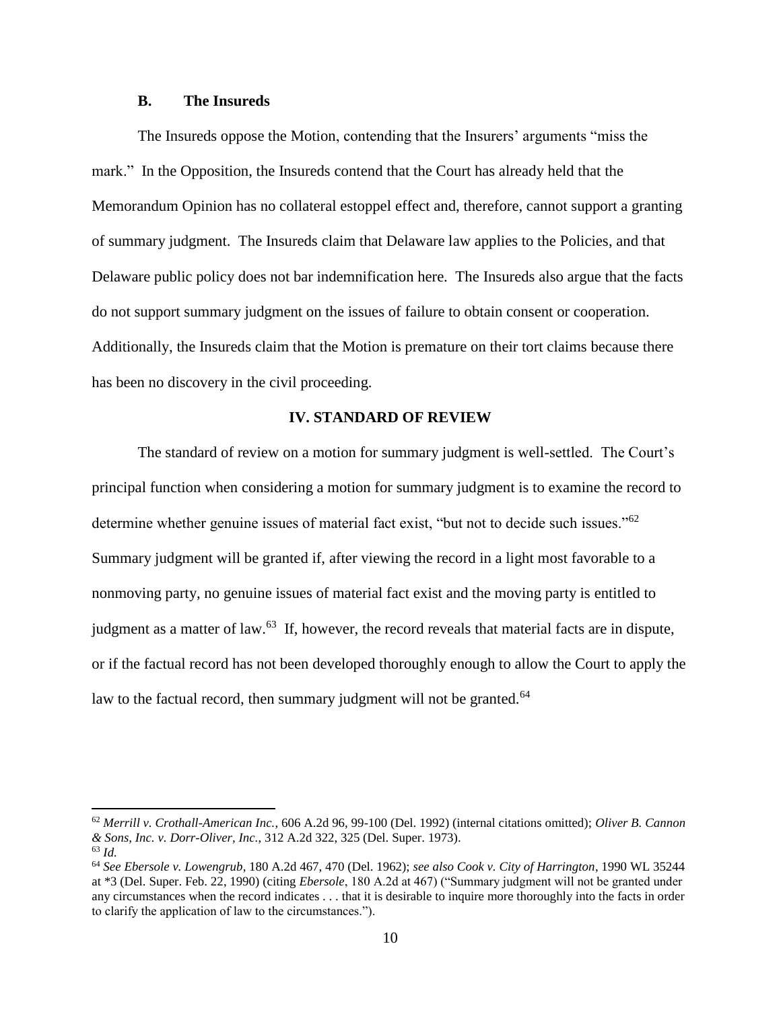#### **B. The Insureds**

The Insureds oppose the Motion, contending that the Insurers' arguments "miss the mark." In the Opposition, the Insureds contend that the Court has already held that the Memorandum Opinion has no collateral estoppel effect and, therefore, cannot support a granting of summary judgment. The Insureds claim that Delaware law applies to the Policies, and that Delaware public policy does not bar indemnification here. The Insureds also argue that the facts do not support summary judgment on the issues of failure to obtain consent or cooperation. Additionally, the Insureds claim that the Motion is premature on their tort claims because there has been no discovery in the civil proceeding.

#### **IV. STANDARD OF REVIEW**

The standard of review on a motion for summary judgment is well-settled. The Court's principal function when considering a motion for summary judgment is to examine the record to determine whether genuine issues of material fact exist, "but not to decide such issues."<sup>62</sup> Summary judgment will be granted if, after viewing the record in a light most favorable to a nonmoving party, no genuine issues of material fact exist and the moving party is entitled to judgment as a matter of law.<sup>63</sup> If, however, the record reveals that material facts are in dispute, or if the factual record has not been developed thoroughly enough to allow the Court to apply the law to the factual record, then summary judgment will not be granted.<sup>64</sup>

<sup>62</sup> *Merrill v. Crothall-American Inc.*, 606 A.2d 96, 99-100 (Del. 1992) (internal citations omitted); *Oliver B. Cannon & Sons, Inc. v. Dorr-Oliver, Inc.*, 312 A.2d 322, 325 (Del. Super. 1973).

<sup>63</sup> *Id.*

<sup>64</sup> *See Ebersole v. Lowengrub*, 180 A.2d 467, 470 (Del. 1962); *see also Cook v. City of Harrington*, 1990 WL 35244 at \*3 (Del. Super. Feb. 22, 1990) (citing *Ebersole*, 180 A.2d at 467) ("Summary judgment will not be granted under any circumstances when the record indicates . . . that it is desirable to inquire more thoroughly into the facts in order to clarify the application of law to the circumstances.").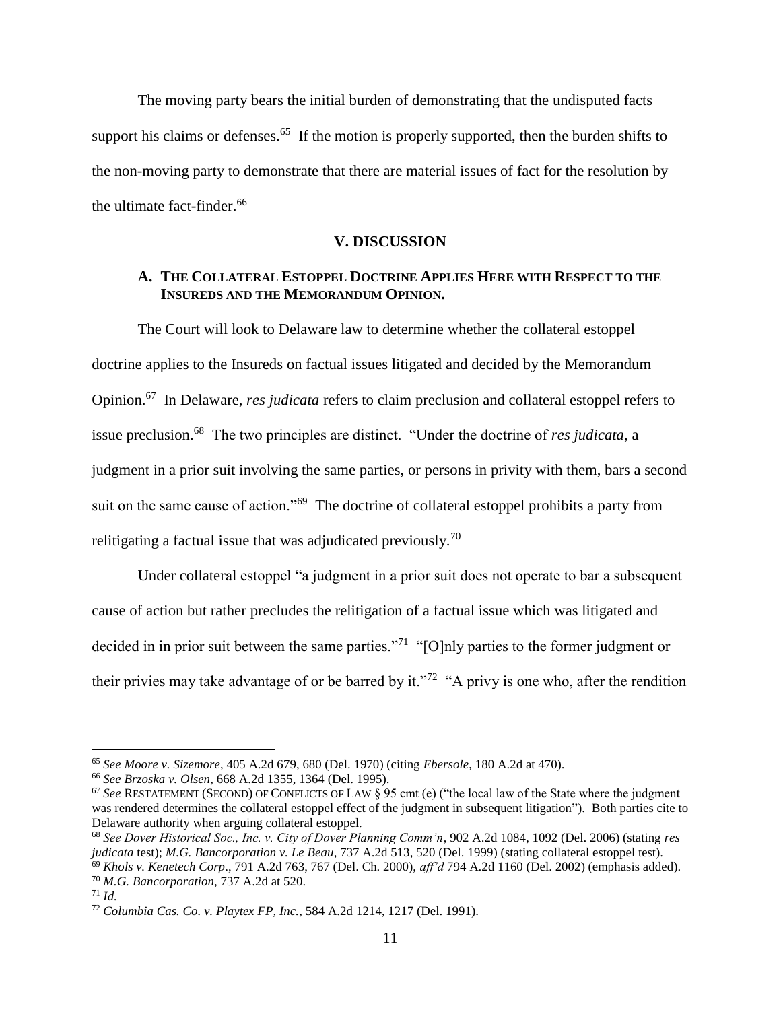The moving party bears the initial burden of demonstrating that the undisputed facts support his claims or defenses.<sup>65</sup> If the motion is properly supported, then the burden shifts to the non-moving party to demonstrate that there are material issues of fact for the resolution by the ultimate fact-finder.<sup>66</sup>

#### **V. DISCUSSION**

## **A. THE COLLATERAL ESTOPPEL DOCTRINE APPLIES HERE WITH RESPECT TO THE INSUREDS AND THE MEMORANDUM OPINION.**

The Court will look to Delaware law to determine whether the collateral estoppel doctrine applies to the Insureds on factual issues litigated and decided by the Memorandum Opinion. 67 In Delaware, *res judicata* refers to claim preclusion and collateral estoppel refers to issue preclusion.<sup>68</sup> The two principles are distinct. "Under the doctrine of *res judicata*, a judgment in a prior suit involving the same parties, or persons in privity with them, bars a second suit on the same cause of action."<sup>69</sup> The doctrine of collateral estoppel prohibits a party from relitigating a factual issue that was adjudicated previously.<sup>70</sup>

Under collateral estoppel "a judgment in a prior suit does not operate to bar a subsequent cause of action but rather precludes the relitigation of a factual issue which was litigated and decided in in prior suit between the same parties."<sup>71</sup> "[O]nly parties to the former judgment or their privies may take advantage of or be barred by it."<sup>72</sup> "A privy is one who, after the rendition

<sup>65</sup> *See Moore v. Sizemore*, 405 A.2d 679, 680 (Del. 1970) (citing *Ebersole*, 180 A.2d at 470).

<sup>66</sup> *See Brzoska v. Olsen*, 668 A.2d 1355, 1364 (Del. 1995).

<sup>67</sup> *See* RESTATEMENT (SECOND) OF CONFLICTS OF LAW § 95 cmt (e) ("the local law of the State where the judgment was rendered determines the collateral estoppel effect of the judgment in subsequent litigation"). Both parties cite to Delaware authority when arguing collateral estoppel.

<sup>68</sup> *See Dover Historical Soc., Inc. v. City of Dover Planning Comm'n*, 902 A.2d 1084, 1092 (Del. 2006) (stating *res judicata* test); *M.G. Bancorporation v. Le Beau*, 737 A.2d 513, 520 (Del. 1999) (stating collateral estoppel test). <sup>69</sup> *Khols v. Kenetech Corp*., 791 A.2d 763, 767 (Del. Ch. 2000), *aff'd* 794 A.2d 1160 (Del. 2002) (emphasis added). <sup>70</sup> *M.G. Bancorporation*, 737 A.2d at 520.

<sup>71</sup> *Id.*

<sup>72</sup> *Columbia Cas. Co. v. Playtex FP, Inc.*, 584 A.2d 1214, 1217 (Del. 1991).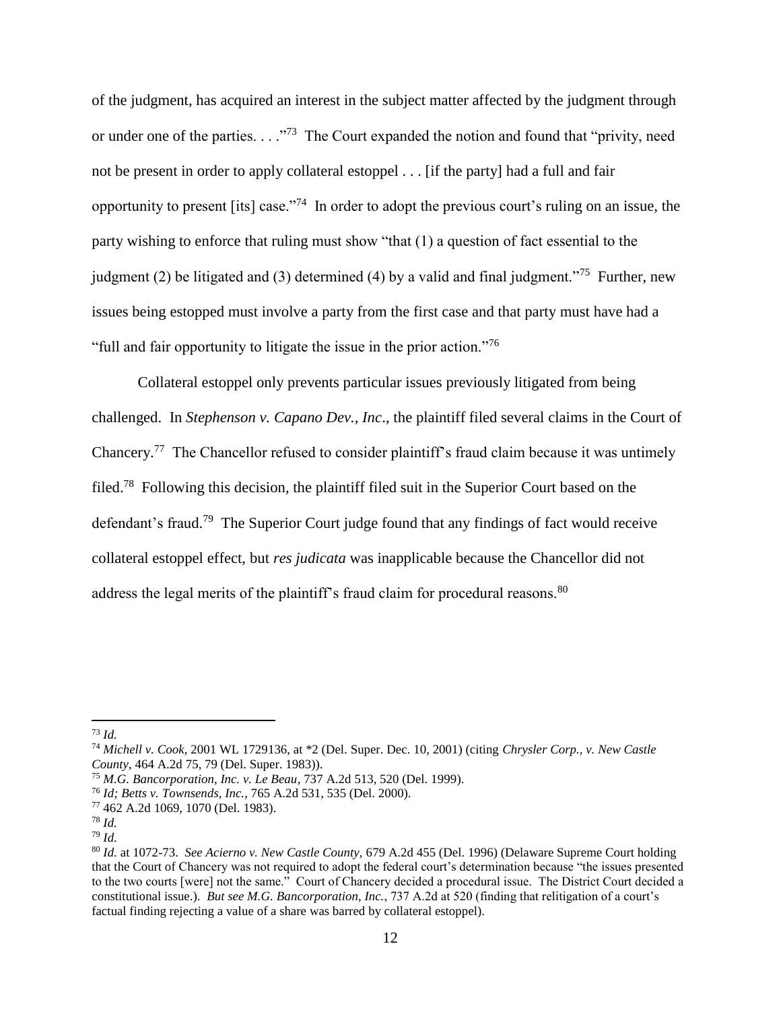of the judgment, has acquired an interest in the subject matter affected by the judgment through or under one of the parties. . . . . . . . . . . . . . . . . The Court expanded the notion and found that "privity, need not be present in order to apply collateral estoppel . . . [if the party] had a full and fair opportunity to present [its] case."<sup>74</sup> In order to adopt the previous court's ruling on an issue, the party wishing to enforce that ruling must show "that (1) a question of fact essential to the judgment (2) be litigated and (3) determined (4) by a valid and final judgment."<sup>75</sup> Further, new issues being estopped must involve a party from the first case and that party must have had a "full and fair opportunity to litigate the issue in the prior action."<sup>76</sup>

Collateral estoppel only prevents particular issues previously litigated from being challenged. In *Stephenson v. Capano Dev., Inc*., the plaintiff filed several claims in the Court of Chancery.<sup>77</sup> The Chancellor refused to consider plaintiff's fraud claim because it was untimely filed.<sup>78</sup> Following this decision, the plaintiff filed suit in the Superior Court based on the defendant's fraud.<sup>79</sup> The Superior Court judge found that any findings of fact would receive collateral estoppel effect, but *res judicata* was inapplicable because the Chancellor did not address the legal merits of the plaintiff's fraud claim for procedural reasons. $80$ 

<sup>73</sup> *Id.* 

<sup>74</sup> *Michell v. Cook*, 2001 WL 1729136, at \*2 (Del. Super. Dec. 10, 2001) (citing *Chrysler Corp., v. New Castle County*, 464 A.2d 75, 79 (Del. Super. 1983)).

<sup>75</sup> *M.G. Bancorporation, Inc. v. Le Beau*, 737 A.2d 513, 520 (Del. 1999).

<sup>76</sup> *Id; Betts v. Townsends, Inc.*, 765 A.2d 531, 535 (Del. 2000).

<sup>77</sup> 462 A.2d 1069, 1070 (Del. 1983).

<sup>78</sup> *Id.*

<sup>79</sup> *Id.*

<sup>80</sup> *Id.* at 1072-73. *See Acierno v. New Castle County,* 679 A.2d 455 (Del. 1996) (Delaware Supreme Court holding that the Court of Chancery was not required to adopt the federal court's determination because "the issues presented to the two courts [were] not the same." Court of Chancery decided a procedural issue. The District Court decided a constitutional issue.). *But see M.G. Bancorporation, Inc.*, 737 A.2d at 520 (finding that relitigation of a court's factual finding rejecting a value of a share was barred by collateral estoppel).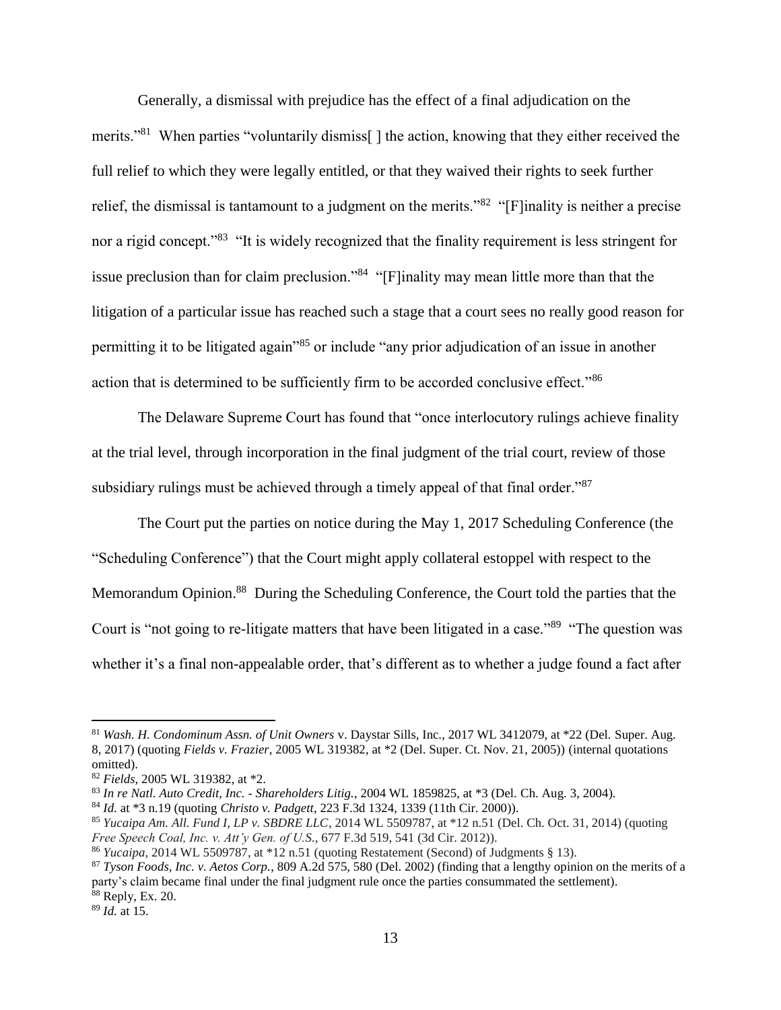Generally, a dismissal with prejudice has the effect of a final adjudication on the merits."<sup>81</sup> When parties "voluntarily dismiss<sup>[]</sup> the action, knowing that they either received the full relief to which they were legally entitled, or that they waived their rights to seek further relief, the dismissal is tantamount to a judgment on the merits."<sup>82</sup> "[F]inality is neither a precise nor a rigid concept."<sup>83</sup> "It is widely recognized that the finality requirement is less stringent for issue preclusion than for claim preclusion."<sup>84</sup> "[F]inality may mean little more than that the litigation of a particular issue has reached such a stage that a court sees no really good reason for permitting it to be litigated again"<sup>85</sup> or include "any prior adjudication of an issue in another action that is determined to be sufficiently firm to be accorded conclusive effect."<sup>86</sup>

The Delaware Supreme Court has found that "once interlocutory rulings achieve finality at the trial level, through incorporation in the final judgment of the trial court, review of those subsidiary rulings must be achieved through a timely appeal of that final order."<sup>87</sup>

The Court put the parties on notice during the May 1, 2017 Scheduling Conference (the "Scheduling Conference") that the Court might apply collateral estoppel with respect to the Memorandum Opinion.<sup>88</sup> During the Scheduling Conference, the Court told the parties that the Court is "not going to re-litigate matters that have been litigated in a case."<sup>89</sup> "The question was whether it's a final non-appealable order, that's different as to whether a judge found a fact after

<sup>89</sup> *Id.* at 15.

<sup>81</sup> *Wash. H. Condominum Assn. of Unit Owners* v. Daystar Sills, Inc., 2017 WL 3412079, at \*22 (Del. Super. Aug. 8, 2017) (quoting *Fields v. Frazier*, 2005 WL 319382, at \*2 (Del. Super. Ct. Nov. 21, 2005)) (internal quotations omitted).

<sup>82</sup> *Fields*, 2005 WL 319382, at \*2.

<sup>83</sup> *In re Natl. Auto Credit, Inc. - Shareholders Litig.*, 2004 WL 1859825, at \*3 (Del. Ch. Aug. 3, 2004).

<sup>84</sup> *Id.* at \*3 n.19 (quoting *Christo v. Padgett*, 223 F.3d 1324, 1339 (11th Cir. 2000)).

<sup>85</sup> *Yucaipa Am. All. Fund I, LP v. SBDRE LLC*, 2014 WL 5509787, at \*12 n.51 (Del. Ch. Oct. 31, 2014) (quoting *Free Speech Coal, Inc. v. Att'y Gen. of U.S.*, 677 F.3d 519, 541 (3d Cir. 2012)).

<sup>86</sup> *Yucaipa,* 2014 WL 5509787, at \*12 n.51 (quoting Restatement (Second) of Judgments § 13).

<sup>87</sup> *Tyson Foods, Inc. v. Aetos Corp.*, 809 A.2d 575, 580 (Del. 2002) (finding that a lengthy opinion on the merits of a party's claim became final under the final judgment rule once the parties consummated the settlement). <sup>88</sup> Reply, Ex. 20.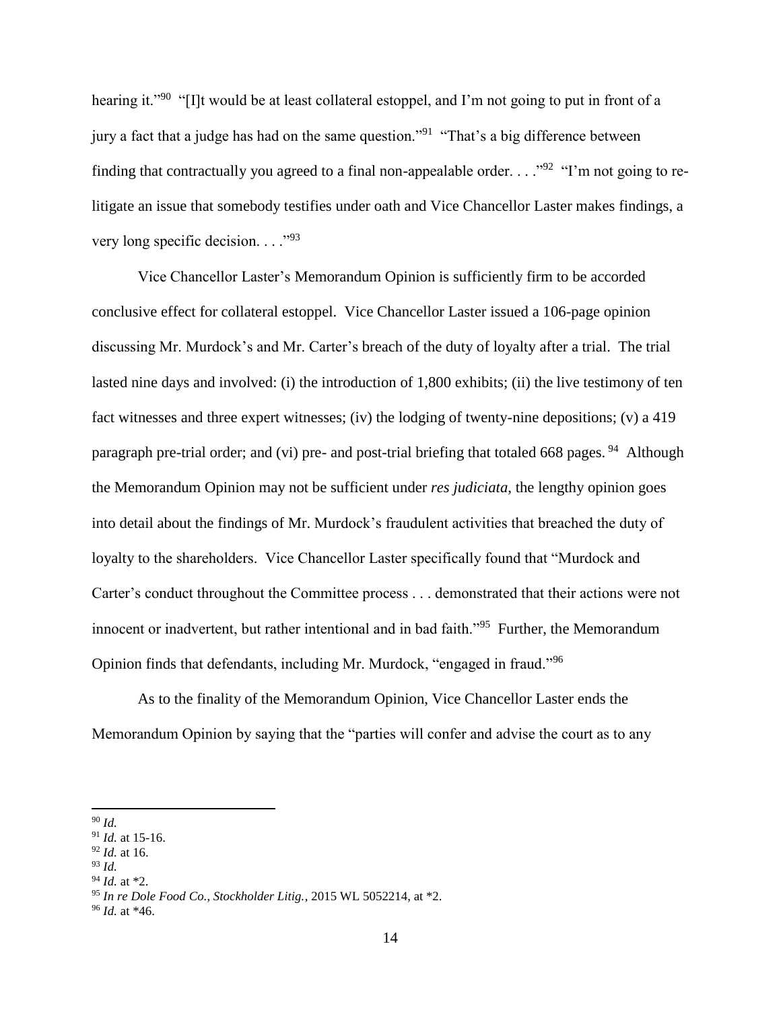hearing it."<sup>90</sup> "[I]t would be at least collateral estoppel, and I'm not going to put in front of a jury a fact that a judge has had on the same question."<sup>91</sup> "That's a big difference between finding that contractually you agreed to a final non-appealable order.  $\dots$ <sup>92</sup> "I'm not going to relitigate an issue that somebody testifies under oath and Vice Chancellor Laster makes findings, a very long specific decision.  $\ldots$ <sup>.93</sup>

Vice Chancellor Laster's Memorandum Opinion is sufficiently firm to be accorded conclusive effect for collateral estoppel. Vice Chancellor Laster issued a 106-page opinion discussing Mr. Murdock's and Mr. Carter's breach of the duty of loyalty after a trial. The trial lasted nine days and involved: (i) the introduction of 1,800 exhibits; (ii) the live testimony of ten fact witnesses and three expert witnesses; (iv) the lodging of twenty-nine depositions; (v) a 419 paragraph pre-trial order; and (vi) pre- and post-trial briefing that totaled 668 pages.<sup>94</sup> Although the Memorandum Opinion may not be sufficient under *res judiciata*, the lengthy opinion goes into detail about the findings of Mr. Murdock's fraudulent activities that breached the duty of loyalty to the shareholders. Vice Chancellor Laster specifically found that "Murdock and Carter's conduct throughout the Committee process . . . demonstrated that their actions were not innocent or inadvertent, but rather intentional and in bad faith."<sup>95</sup> Further, the Memorandum Opinion finds that defendants, including Mr. Murdock, "engaged in fraud."<sup>96</sup>

As to the finality of the Memorandum Opinion, Vice Chancellor Laster ends the Memorandum Opinion by saying that the "parties will confer and advise the court as to any

<sup>94</sup> *Id.* at \*2.

 $\overline{\phantom{a}}$ <sup>90</sup> *Id.* 

<sup>91</sup> *Id.* at 15-16.

<sup>92</sup> *Id.* at 16.

<sup>93</sup> *Id.*

<sup>95</sup> *In re Dole Food Co., Stockholder Litig.*, 2015 WL 5052214, at \*2.

<sup>96</sup> *Id.* at \*46.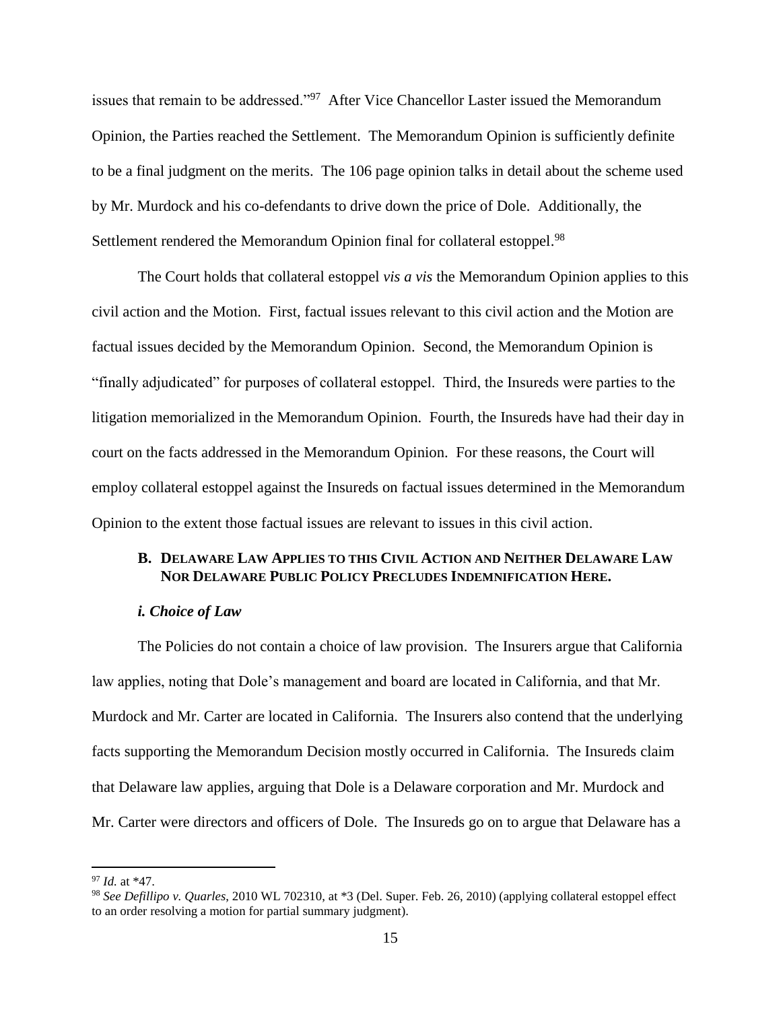issues that remain to be addressed."<sup>97</sup> After Vice Chancellor Laster issued the Memorandum Opinion, the Parties reached the Settlement. The Memorandum Opinion is sufficiently definite to be a final judgment on the merits. The 106 page opinion talks in detail about the scheme used by Mr. Murdock and his co-defendants to drive down the price of Dole. Additionally, the Settlement rendered the Memorandum Opinion final for collateral estoppel.<sup>98</sup>

The Court holds that collateral estoppel *vis a vis* the Memorandum Opinion applies to this civil action and the Motion. First, factual issues relevant to this civil action and the Motion are factual issues decided by the Memorandum Opinion. Second, the Memorandum Opinion is "finally adjudicated" for purposes of collateral estoppel. Third, the Insureds were parties to the litigation memorialized in the Memorandum Opinion. Fourth, the Insureds have had their day in court on the facts addressed in the Memorandum Opinion. For these reasons, the Court will employ collateral estoppel against the Insureds on factual issues determined in the Memorandum Opinion to the extent those factual issues are relevant to issues in this civil action.

## **B. DELAWARE LAW APPLIES TO THIS CIVIL ACTION AND NEITHER DELAWARE LAW NOR DELAWARE PUBLIC POLICY PRECLUDES INDEMNIFICATION HERE.**

#### *i. Choice of Law*

The Policies do not contain a choice of law provision. The Insurers argue that California law applies, noting that Dole's management and board are located in California, and that Mr. Murdock and Mr. Carter are located in California. The Insurers also contend that the underlying facts supporting the Memorandum Decision mostly occurred in California. The Insureds claim that Delaware law applies, arguing that Dole is a Delaware corporation and Mr. Murdock and Mr. Carter were directors and officers of Dole. The Insureds go on to argue that Delaware has a

<sup>97</sup> *Id.* at \*47.

<sup>98</sup> *See Defillipo v. Quarles*, 2010 WL 702310, at \*3 (Del. Super. Feb. 26, 2010) (applying collateral estoppel effect to an order resolving a motion for partial summary judgment).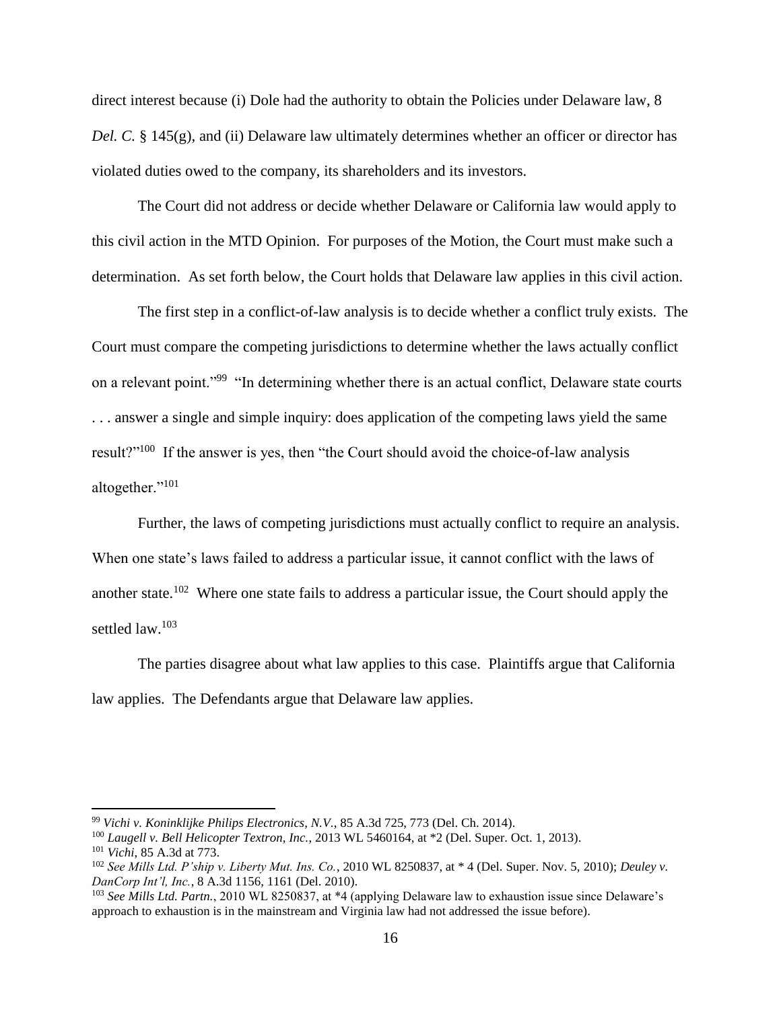direct interest because (i) Dole had the authority to obtain the Policies under Delaware law, 8 *Del. C.* § 145(g), and (ii) Delaware law ultimately determines whether an officer or director has violated duties owed to the company, its shareholders and its investors.

The Court did not address or decide whether Delaware or California law would apply to this civil action in the MTD Opinion. For purposes of the Motion, the Court must make such a determination. As set forth below, the Court holds that Delaware law applies in this civil action.

The first step in a conflict-of-law analysis is to decide whether a conflict truly exists. The Court must compare the competing jurisdictions to determine whether the laws actually conflict on a relevant point."<sup>99</sup> "In determining whether there is an actual conflict, Delaware state courts . . . answer a single and simple inquiry: does application of the competing laws yield the same result?"<sup>100</sup> If the answer is yes, then "the Court should avoid the choice-of-law analysis altogether."<sup>101</sup>

Further, the laws of competing jurisdictions must actually conflict to require an analysis. When one state's laws failed to address a particular issue, it cannot conflict with the laws of another state.<sup>102</sup> Where one state fails to address a particular issue, the Court should apply the settled law.<sup>103</sup>

The parties disagree about what law applies to this case. Plaintiffs argue that California law applies. The Defendants argue that Delaware law applies.

<sup>99</sup> *Vichi v. Koninklijke Philips Electronics, N.V.*, 85 A.3d 725, 773 (Del. Ch. 2014).

<sup>100</sup> *Laugell v. Bell Helicopter Textron, Inc.*, 2013 WL 5460164, at \*2 (Del. Super. Oct. 1, 2013). <sup>101</sup> *Vichi*, 85 A.3d at 773.

<sup>102</sup> *See Mills Ltd. P'ship v. Liberty Mut. Ins. Co.*, 2010 WL 8250837, at \* 4 (Del. Super. Nov. 5, 2010); *Deuley v. DanCorp Int'l, Inc.*, 8 A.3d 1156, 1161 (Del. 2010).

<sup>103</sup> *See Mills Ltd. Partn.*, 2010 WL 8250837, at \*4 (applying Delaware law to exhaustion issue since Delaware's approach to exhaustion is in the mainstream and Virginia law had not addressed the issue before).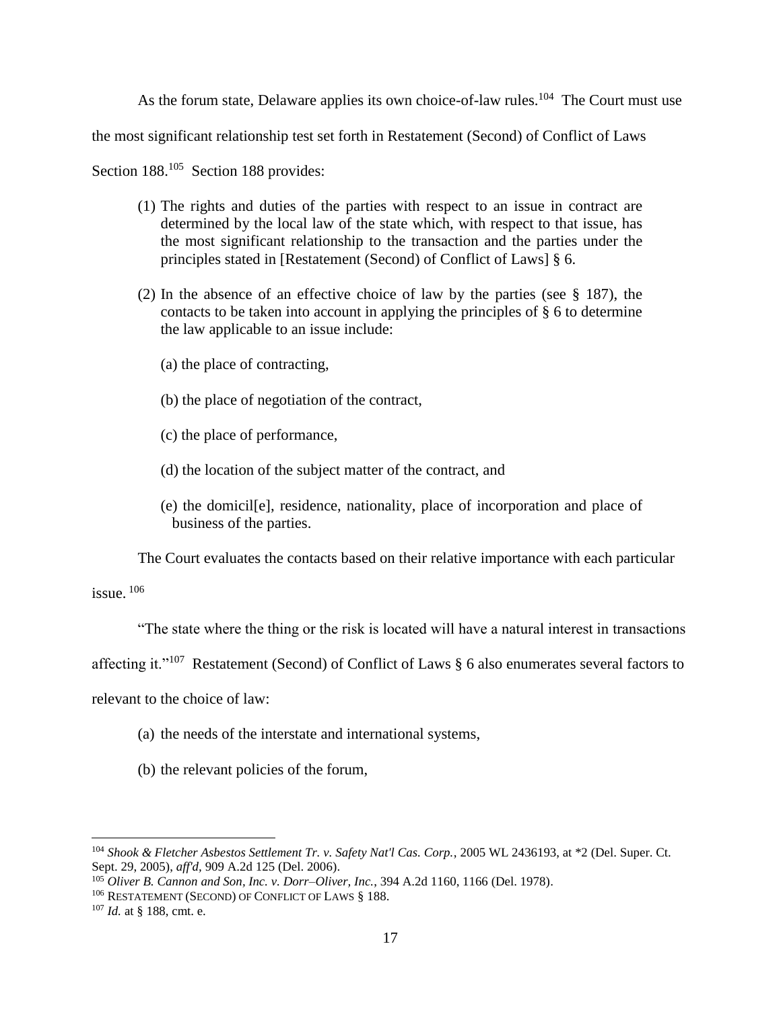As the forum state, Delaware applies its own choice-of-law rules.<sup>104</sup> The Court must use

the most significant relationship test set forth in Restatement (Second) of Conflict of Laws

Section 188.<sup>105</sup> Section 188 provides:

- (1) The rights and duties of the parties with respect to an issue in contract are determined by the local law of the state which, with respect to that issue, has the most significant relationship to the transaction and the parties under the principles stated in [Restatement (Second) of Conflict of Laws] § 6.
- (2) In the absence of an effective choice of law by the parties (see § 187), the contacts to be taken into account in applying the principles of § 6 to determine the law applicable to an issue include:
	- (a) the place of contracting,
	- (b) the place of negotiation of the contract,
	- (c) the place of performance,
	- (d) the location of the subject matter of the contract, and
	- (e) the domicil[e], residence, nationality, place of incorporation and place of business of the parties.

The Court evaluates the contacts based on their relative importance with each particular

issue.  $106$ 

"The state where the thing or the risk is located will have a natural interest in transactions

affecting it."<sup>107</sup> Restatement (Second) of Conflict of Laws  $\S$  6 also enumerates several factors to

relevant to the choice of law:

- (a) the needs of the interstate and international systems,
- (b) the relevant policies of the forum,

<sup>104</sup> *Shook & Fletcher Asbestos Settlement Tr. v. Safety Nat'l Cas. Corp.*, 2005 WL 2436193, at \*2 (Del. Super. Ct. Sept. 29, 2005), *aff'd,* 909 A.2d 125 (Del. 2006).

<sup>105</sup> *Oliver B. Cannon and Son, Inc. v. Dorr–Oliver, Inc.*, 394 A.2d 1160, 1166 (Del. 1978).

<sup>106</sup> RESTATEMENT (SECOND) OF CONFLICT OF LAWS § 188.

<sup>107</sup> *Id.* at § 188, cmt. e.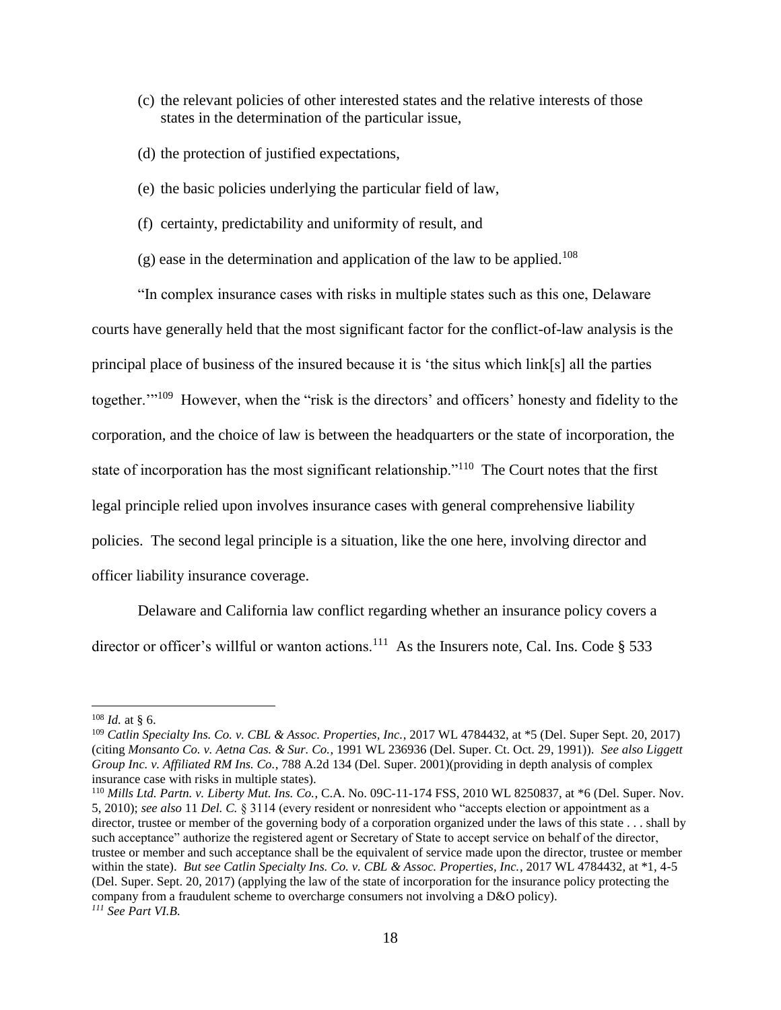- (c) the relevant policies of other interested states and the relative interests of those states in the determination of the particular issue,
- (d) the protection of justified expectations,
- (e) the basic policies underlying the particular field of law,
- (f) certainty, predictability and uniformity of result, and
- $(g)$  ease in the determination and application of the law to be applied.<sup>108</sup>

"In complex insurance cases with risks in multiple states such as this one, Delaware courts have generally held that the most significant factor for the conflict-of-law analysis is the principal place of business of the insured because it is 'the situs which link[s] all the parties together."<sup>109</sup> However, when the "risk is the directors' and officers' honesty and fidelity to the corporation, and the choice of law is between the headquarters or the state of incorporation, the state of incorporation has the most significant relationship."<sup>110</sup> The Court notes that the first legal principle relied upon involves insurance cases with general comprehensive liability policies. The second legal principle is a situation, like the one here, involving director and officer liability insurance coverage.

Delaware and California law conflict regarding whether an insurance policy covers a director or officer's willful or wanton actions.<sup>111</sup> As the Insurers note, Cal. Ins. Code § 533

 $108$  *Id.* at § 6.

<sup>109</sup> *Catlin Specialty Ins. Co. v. CBL & Assoc. Properties, Inc.*, 2017 WL 4784432, at \*5 (Del. Super Sept. 20, 2017) (citing *Monsanto Co. v. Aetna Cas. & Sur. Co.*, 1991 WL 236936 (Del. Super. Ct. Oct. 29, 1991)). *See also Liggett Group Inc. v. Affiliated RM Ins. Co.*, 788 A.2d 134 (Del. Super. 2001)(providing in depth analysis of complex insurance case with risks in multiple states).

<sup>110</sup> *Mills Ltd. Partn. v. Liberty Mut. Ins. Co.*, C.A. No. 09C-11-174 FSS, 2010 WL 8250837, at \*6 (Del. Super. Nov. 5, 2010); *see also* 11 *Del. C.* § 3114 (every resident or nonresident who "accepts election or appointment as a director, trustee or member of the governing body of a corporation organized under the laws of this state . . . shall by such acceptance" authorize the registered agent or Secretary of State to accept service on behalf of the director, trustee or member and such acceptance shall be the equivalent of service made upon the director, trustee or member within the state). *But see Catlin Specialty Ins. Co. v. CBL & Assoc. Properties, Inc.*, 2017 WL 4784432, at \*1, 4-5 (Del. Super. Sept. 20, 2017) (applying the law of the state of incorporation for the insurance policy protecting the company from a fraudulent scheme to overcharge consumers not involving a D&O policy). *<sup>111</sup> See Part VI.B.*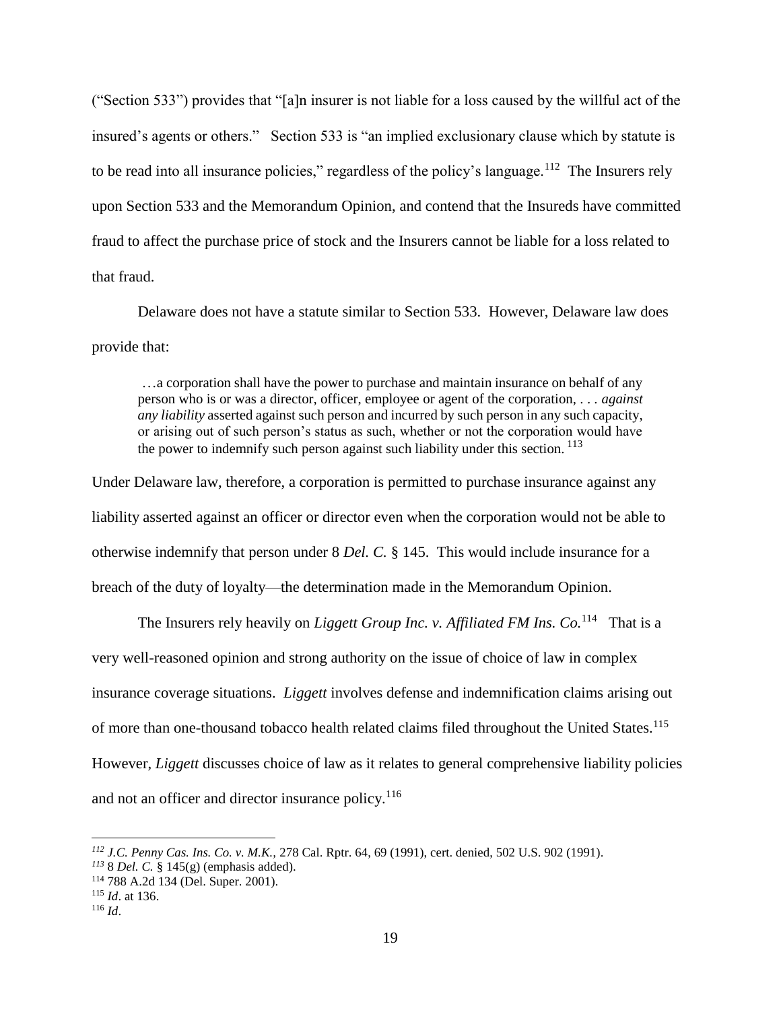("Section 533") provides that "[a]n insurer is not liable for a loss caused by the willful act of the insured's agents or others." Section 533 is "an implied exclusionary clause which by statute is to be read into all insurance policies," regardless of the policy's language.<sup>112</sup> The Insurers rely upon Section 533 and the Memorandum Opinion, and contend that the Insureds have committed fraud to affect the purchase price of stock and the Insurers cannot be liable for a loss related to that fraud.

Delaware does not have a statute similar to Section 533. However, Delaware law does provide that:

…a corporation shall have the power to purchase and maintain insurance on behalf of any person who is or was a director, officer, employee or agent of the corporation, . . . *against any liability* asserted against such person and incurred by such person in any such capacity, or arising out of such person's status as such, whether or not the corporation would have the power to indemnify such person against such liability under this section.  $^{113}$ 

Under Delaware law, therefore, a corporation is permitted to purchase insurance against any liability asserted against an officer or director even when the corporation would not be able to otherwise indemnify that person under 8 *Del. C.* § 145. This would include insurance for a breach of the duty of loyalty—the determination made in the Memorandum Opinion.

The Insurers rely heavily on *Liggett Group Inc. v. Affiliated FM Ins. Co.*<sup>114</sup> That is a very well-reasoned opinion and strong authority on the issue of choice of law in complex insurance coverage situations. *Liggett* involves defense and indemnification claims arising out of more than one-thousand tobacco health related claims filed throughout the United States.<sup>115</sup> However, *Liggett* discusses choice of law as it relates to general comprehensive liability policies and not an officer and director insurance policy.<sup>116</sup>

*<sup>112</sup> J.C. Penny Cas. Ins. Co. v. M.K.,* 278 Cal. Rptr. 64, 69 (1991), cert. denied, 502 U.S. 902 (1991).

*<sup>113</sup>* 8 *Del. C.* § 145(g) (emphasis added).

<sup>114</sup> 788 A.2d 134 (Del. Super. 2001).

<sup>115</sup> *Id*. at 136.

<sup>116</sup> *Id*.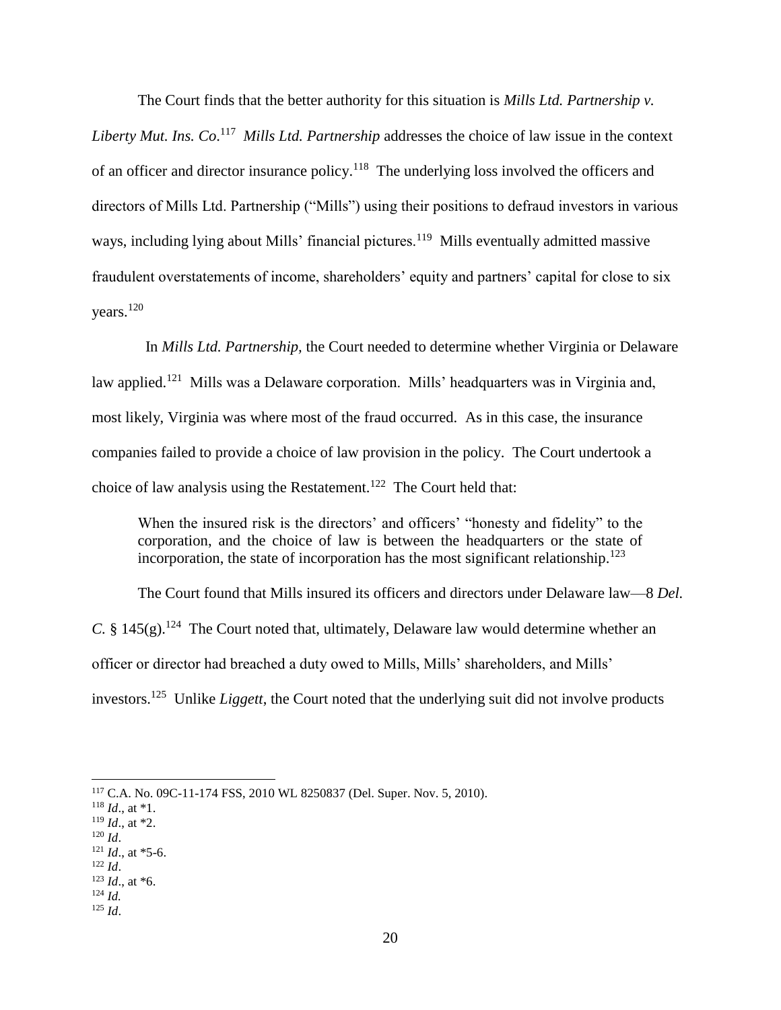The Court finds that the better authority for this situation is *Mills Ltd. Partnership v.* 

Liberty Mut. Ins. Co.<sup>117</sup> Mills Ltd. Partnership addresses the choice of law issue in the context of an officer and director insurance policy.<sup>118</sup> The underlying loss involved the officers and directors of Mills Ltd. Partnership ("Mills") using their positions to defraud investors in various ways, including lying about Mills' financial pictures.<sup>119</sup> Mills eventually admitted massive fraudulent overstatements of income, shareholders' equity and partners' capital for close to six years.<sup>120</sup>

 In *Mills Ltd. Partnership,* the Court needed to determine whether Virginia or Delaware law applied.<sup>121</sup> Mills was a Delaware corporation. Mills' headquarters was in Virginia and, most likely, Virginia was where most of the fraud occurred. As in this case, the insurance companies failed to provide a choice of law provision in the policy. The Court undertook a choice of law analysis using the Restatement.<sup>122</sup> The Court held that:

When the insured risk is the directors' and officers' "honesty and fidelity" to the corporation, and the choice of law is between the headquarters or the state of incorporation, the state of incorporation has the most significant relationship.<sup>123</sup>

The Court found that Mills insured its officers and directors under Delaware law—8 *Del. C.* §  $145(g)$ .<sup>124</sup> The Court noted that, ultimately, Delaware law would determine whether an officer or director had breached a duty owed to Mills, Mills' shareholders, and Mills' investors.<sup>125</sup> Unlike *Liggett*, the Court noted that the underlying suit did not involve products

- $121$  *Id.*, at  $*5-6$ .
- <sup>122</sup> *Id*.
- $123$  *Id.*, at  $*6$ .
- <sup>124</sup> *Id.*
- <sup>125</sup> *Id*.

<sup>117</sup> C.A. No. 09C-11-174 FSS, 2010 WL 8250837 (Del. Super. Nov. 5, 2010).

<sup>118</sup> *Id*., at \*1.

 $119$  *Id.*, at \*2. <sup>120</sup> *Id*.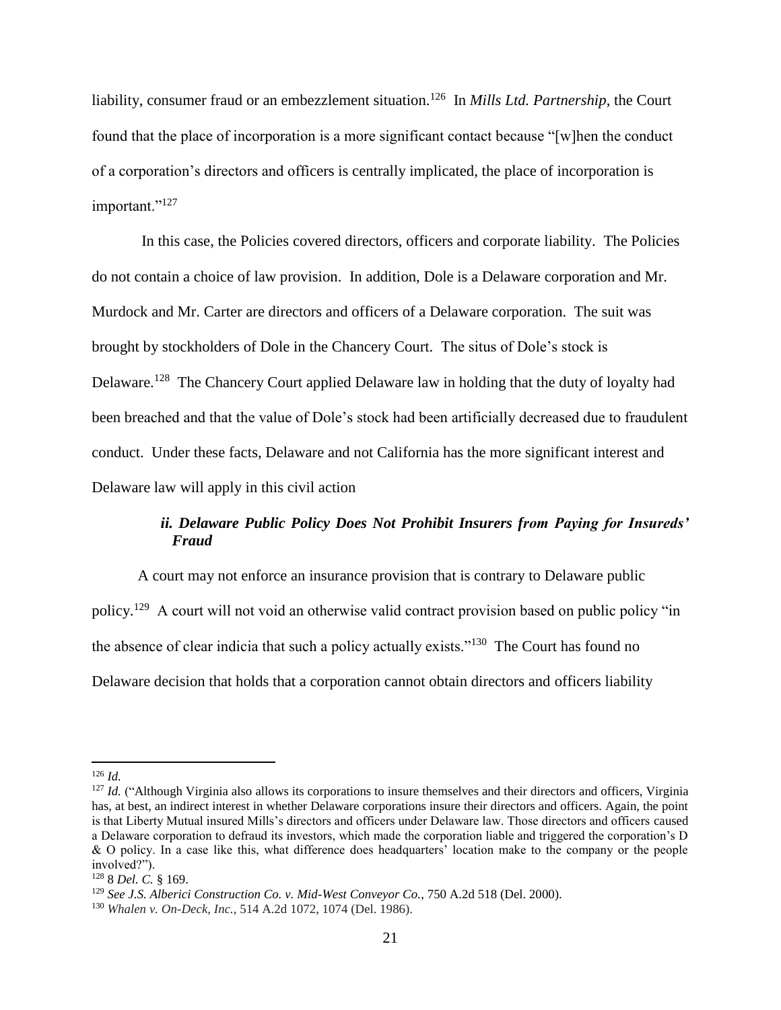liability, consumer fraud or an embezzlement situation.<sup>126</sup> In *Mills Ltd. Partnership*, the Court found that the place of incorporation is a more significant contact because "[w]hen the conduct of a corporation's directors and officers is centrally implicated, the place of incorporation is important."<sup>127</sup>

In this case, the Policies covered directors, officers and corporate liability. The Policies do not contain a choice of law provision. In addition, Dole is a Delaware corporation and Mr. Murdock and Mr. Carter are directors and officers of a Delaware corporation. The suit was brought by stockholders of Dole in the Chancery Court. The situs of Dole's stock is Delaware.<sup>128</sup> The Chancery Court applied Delaware law in holding that the duty of loyalty had been breached and that the value of Dole's stock had been artificially decreased due to fraudulent conduct. Under these facts, Delaware and not California has the more significant interest and Delaware law will apply in this civil action

# *ii. Delaware Public Policy Does Not Prohibit Insurers from Paying for Insureds' Fraud*

A court may not enforce an insurance provision that is contrary to Delaware public policy.<sup>129</sup> A court will not void an otherwise valid contract provision based on public policy "in the absence of clear indicia that such a policy actually exists."<sup>130</sup> The Court has found no Delaware decision that holds that a corporation cannot obtain directors and officers liability

<sup>126</sup> *Id.*

<sup>&</sup>lt;sup>127</sup> *Id.* ("Although Virginia also allows its corporations to insure themselves and their directors and officers, Virginia has, at best, an indirect interest in whether Delaware corporations insure their directors and officers. Again, the point is that Liberty Mutual insured Mills's directors and officers under Delaware law. Those directors and officers caused a Delaware corporation to defraud its investors, which made the corporation liable and triggered the corporation's D & O policy. In a case like this, what difference does headquarters' location make to the company or the people involved?").

<sup>128</sup> 8 *Del. C.* § 169.

<sup>129</sup> *See J.S. Alberici Construction Co. v. Mid-West Conveyor Co.*, 750 A.2d 518 (Del. 2000).

<sup>130</sup> *Whalen v. On-Deck, Inc.*, 514 A.2d 1072, 1074 (Del. 1986).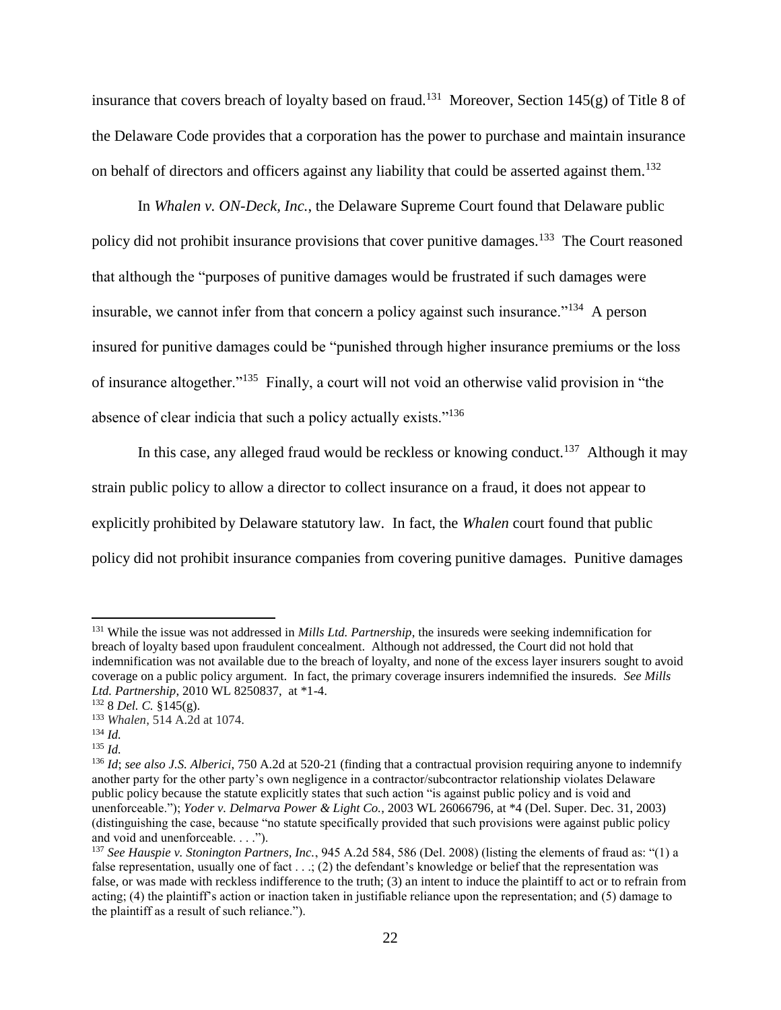insurance that covers breach of loyalty based on fraud.<sup>131</sup> Moreover, Section 145 $(g)$  of Title 8 of the Delaware Code provides that a corporation has the power to purchase and maintain insurance on behalf of directors and officers against any liability that could be asserted against them.<sup>132</sup>

In *Whalen v. ON-Deck, Inc.*, the Delaware Supreme Court found that Delaware public policy did not prohibit insurance provisions that cover punitive damages.<sup>133</sup> The Court reasoned that although the "purposes of punitive damages would be frustrated if such damages were insurable, we cannot infer from that concern a policy against such insurance."<sup>134</sup> A person insured for punitive damages could be "punished through higher insurance premiums or the loss of insurance altogether."<sup>135</sup> Finally, a court will not void an otherwise valid provision in "the absence of clear indicia that such a policy actually exists."<sup>136</sup>

In this case, any alleged fraud would be reckless or knowing conduct.<sup>137</sup> Although it may strain public policy to allow a director to collect insurance on a fraud, it does not appear to explicitly prohibited by Delaware statutory law. In fact, the *Whalen* court found that public policy did not prohibit insurance companies from covering punitive damages. Punitive damages

<sup>131</sup> While the issue was not addressed in *Mills Ltd. Partnership*, the insureds were seeking indemnification for breach of loyalty based upon fraudulent concealment. Although not addressed, the Court did not hold that indemnification was not available due to the breach of loyalty, and none of the excess layer insurers sought to avoid coverage on a public policy argument. In fact, the primary coverage insurers indemnified the insureds. *See Mills Ltd. Partnership*, 2010 WL 8250837, at \*1-4.

<sup>132</sup> 8 *Del. C.* §145(g).

<sup>133</sup> *Whalen*, 514 A.2d at 1074.

<sup>134</sup> *Id.*

<sup>135</sup> *Id.*

<sup>136</sup> *Id*; *see also J.S. Alberici*, 750 A.2d at 520-21 (finding that a contractual provision requiring anyone to indemnify another party for the other party's own negligence in a contractor/subcontractor relationship violates Delaware public policy because the statute explicitly states that such action "is against public policy and is void and unenforceable."); *Yoder v. Delmarva Power & Light Co.*, 2003 WL 26066796, at \*4 (Del. Super. Dec. 31, 2003) (distinguishing the case, because "no statute specifically provided that such provisions were against public policy and void and unenforceable. . . .").

<sup>137</sup> *See Hauspie v. Stonington Partners, Inc.*, 945 A.2d 584, 586 (Del. 2008) (listing the elements of fraud as: "(1) a false representation, usually one of fact . . .; (2) the defendant's knowledge or belief that the representation was false, or was made with reckless indifference to the truth; (3) an intent to induce the plaintiff to act or to refrain from acting; (4) the plaintiff's action or inaction taken in justifiable reliance upon the representation; and (5) damage to the plaintiff as a result of such reliance.").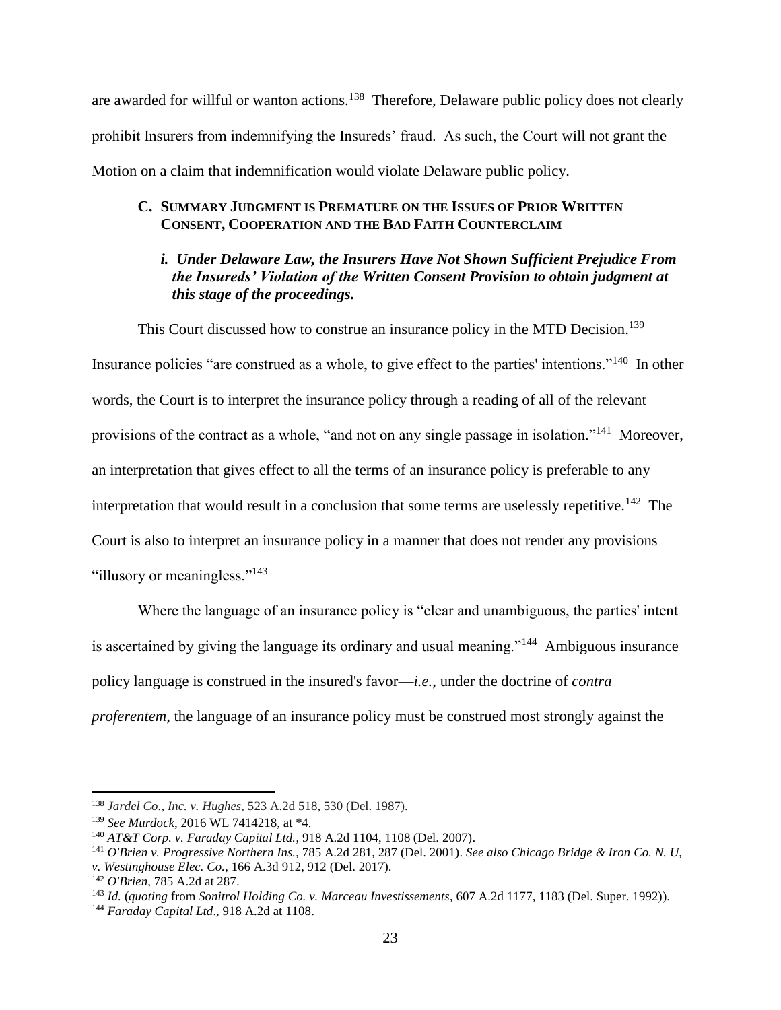are awarded for willful or wanton actions.<sup>138</sup> Therefore, Delaware public policy does not clearly prohibit Insurers from indemnifying the Insureds' fraud. As such, the Court will not grant the Motion on a claim that indemnification would violate Delaware public policy.

# **C. SUMMARY JUDGMENT IS PREMATURE ON THE ISSUES OF PRIOR WRITTEN CONSENT, COOPERATION AND THE BAD FAITH COUNTERCLAIM**

# *i. Under Delaware Law, the Insurers Have Not Shown Sufficient Prejudice From the Insureds' Violation of the Written Consent Provision to obtain judgment at this stage of the proceedings.*

This Court discussed how to construe an insurance policy in the MTD Decision.<sup>139</sup>

Insurance policies "are construed as a whole, to give effect to the parties' intentions."<sup>140</sup> In other words, the Court is to interpret the insurance policy through a reading of all of the relevant provisions of the contract as a whole, "and not on any single passage in isolation."<sup>141</sup> Moreover, an interpretation that gives effect to all the terms of an insurance policy is preferable to any interpretation that would result in a conclusion that some terms are uselessly repetitive.<sup>142</sup> The Court is also to interpret an insurance policy in a manner that does not render any provisions "illusory or meaningless."<sup>143</sup>

Where the language of an insurance policy is "clear and unambiguous, the parties' intent is ascertained by giving the language its ordinary and usual meaning."<sup>144</sup> Ambiguous insurance policy language is construed in the insured's favor—*i.e.*, under the doctrine of *contra proferentem*, the language of an insurance policy must be construed most strongly against the

l

<sup>138</sup> *Jardel Co., Inc. v. Hughes*, 523 A.2d 518, 530 (Del. 1987).

<sup>139</sup> *See Murdock*, 2016 WL 7414218, at \*4.

<sup>140</sup> *AT&T Corp. v. Faraday Capital Ltd.*, 918 A.2d 1104, 1108 (Del. 2007).

<sup>141</sup> *O'Brien v. Progressive Northern Ins.*, 785 A.2d 281, 287 (Del. 2001). *See also Chicago Bridge & Iron Co. N. U, v. Westinghouse Elec. Co.*, 166 A.3d 912, 912 (Del. 2017).

<sup>142</sup> *O'Brien,* 785 A.2d at 287.

<sup>143</sup> *Id.* (*quoting* from *Sonitrol Holding Co. v. Marceau Investissements*, 607 A.2d 1177, 1183 (Del. Super. 1992)).

<sup>144</sup> *Faraday Capital Ltd*., 918 A.2d at 1108.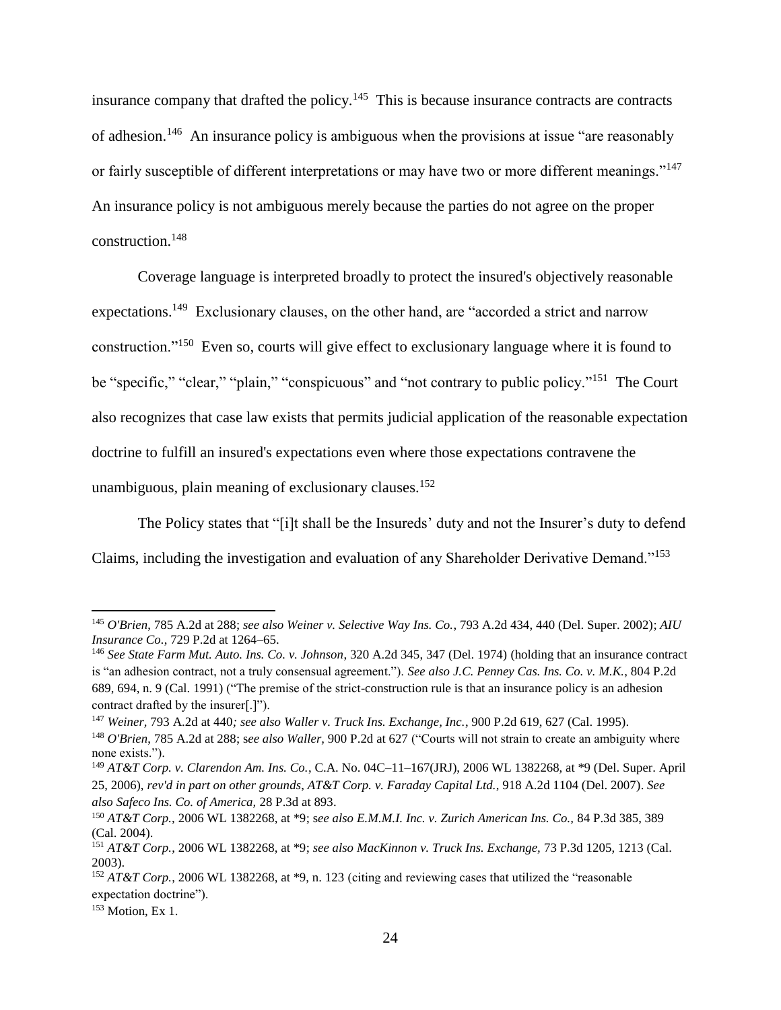insurance company that drafted the policy.<sup>145</sup> This is because insurance contracts are contracts of adhesion.<sup>146</sup> An insurance policy is ambiguous when the provisions at issue "are reasonably or fairly susceptible of different interpretations or may have two or more different meanings."<sup>147</sup> An insurance policy is not ambiguous merely because the parties do not agree on the proper construction.<sup>148</sup>

Coverage language is interpreted broadly to protect the insured's objectively reasonable expectations.<sup>149</sup> Exclusionary clauses, on the other hand, are "accorded a strict and narrow construction."<sup>150</sup> Even so, courts will give effect to exclusionary language where it is found to be "specific," "clear," "plain," "conspicuous" and "not contrary to public policy."<sup>151</sup> The Court also recognizes that case law exists that permits judicial application of the reasonable expectation doctrine to fulfill an insured's expectations even where those expectations contravene the unambiguous, plain meaning of exclusionary clauses.<sup>152</sup>

The Policy states that "[i]t shall be the Insureds' duty and not the Insurer's duty to defend Claims, including the investigation and evaluation of any Shareholder Derivative Demand."<sup>153</sup>

<sup>145</sup> *O'Brien*, 785 A.2d at 288; *see also Weiner v. Selective Way Ins. Co.*, 793 A.2d 434, 440 (Del. Super. 2002); *AIU Insurance Co.*, 729 P.2d at 1264–65.

<sup>146</sup> *See State Farm Mut. Auto. Ins. Co. v. Johnson*, 320 A.2d 345, 347 (Del. 1974) (holding that an insurance contract is "an adhesion contract, not a truly consensual agreement."). *See also J.C. Penney Cas. Ins. Co. v. M.K.*, 804 P.2d 689, 694, n. 9 (Cal. 1991) ("The premise of the strict-construction rule is that an insurance policy is an adhesion contract drafted by the insurer[.]").

<sup>147</sup> *Weiner,* 793 A.2d at 440*; see also Waller v. Truck Ins. Exchange, Inc.*, 900 P.2d 619, 627 (Cal. 1995). <sup>148</sup> *O'Brien*, 785 A.2d at 288; s*ee also Waller,* 900 P.2d at 627 ("Courts will not strain to create an ambiguity where

none exists.").

<sup>149</sup> *AT&T Corp. v. Clarendon Am. Ins. Co.*, C.A. No. 04C–11–167(JRJ), 2006 WL 1382268, at \*9 (Del. Super. April 25, 2006), *rev'd in part on other grounds*, *AT&T Corp. v. Faraday Capital Ltd.*, 918 A.2d 1104 (Del. 2007). *See also Safeco Ins. Co. of America,* 28 P.3d at 893.

<sup>150</sup> *AT&T Corp.,* 2006 WL 1382268, at \*9; s*ee also E.M.M.I. Inc. v. Zurich American Ins. Co.,* 84 P.3d 385, 389 (Cal. 2004).

<sup>151</sup> *AT&T Corp.*, 2006 WL 1382268, at \*9; *see also MacKinnon v. Truck Ins. Exchange,* 73 P.3d 1205, 1213 (Cal. 2003).

<sup>152</sup> *AT&T Corp.*, 2006 WL 1382268, at \*9, n. 123 (citing and reviewing cases that utilized the "reasonable expectation doctrine").

 $153$  Motion, Ex 1.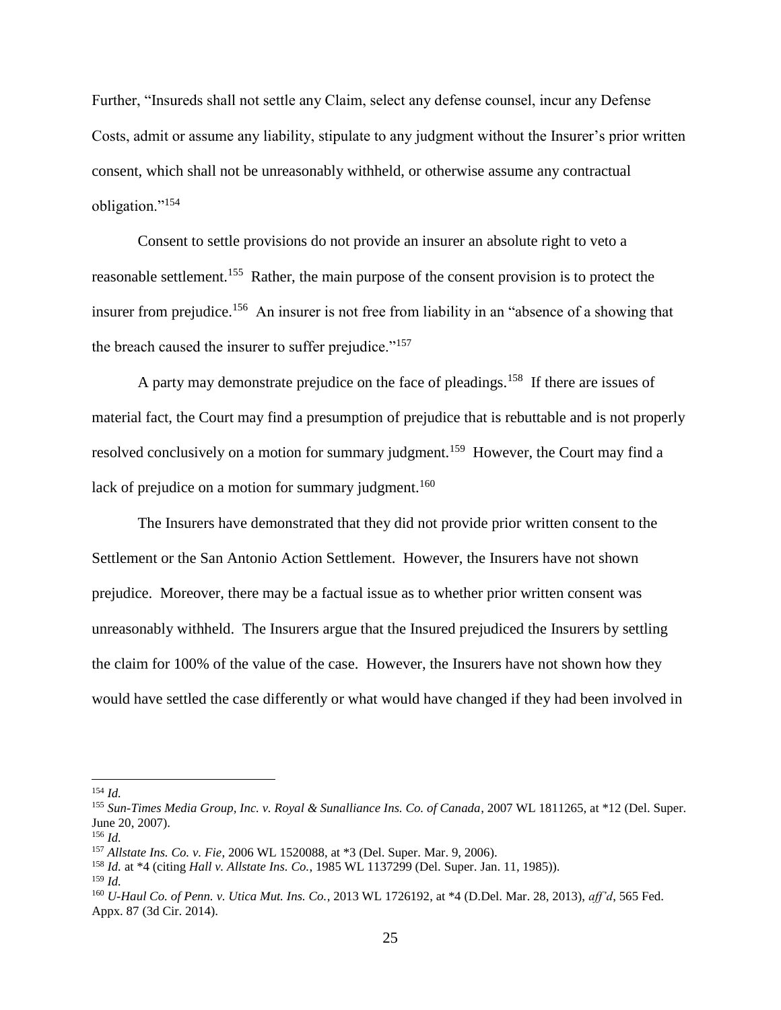Further, "Insureds shall not settle any Claim, select any defense counsel, incur any Defense Costs, admit or assume any liability, stipulate to any judgment without the Insurer's prior written consent, which shall not be unreasonably withheld, or otherwise assume any contractual obligation."<sup>154</sup>

Consent to settle provisions do not provide an insurer an absolute right to veto a reasonable settlement.<sup>155</sup> Rather, the main purpose of the consent provision is to protect the insurer from prejudice.<sup>156</sup> An insurer is not free from liability in an "absence of a showing that the breach caused the insurer to suffer prejudice."<sup>157</sup>

A party may demonstrate prejudice on the face of pleadings.<sup>158</sup> If there are issues of material fact, the Court may find a presumption of prejudice that is rebuttable and is not properly resolved conclusively on a motion for summary judgment.<sup>159</sup> However, the Court may find a lack of prejudice on a motion for summary judgment.<sup>160</sup>

The Insurers have demonstrated that they did not provide prior written consent to the Settlement or the San Antonio Action Settlement. However, the Insurers have not shown prejudice. Moreover, there may be a factual issue as to whether prior written consent was unreasonably withheld. The Insurers argue that the Insured prejudiced the Insurers by settling the claim for 100% of the value of the case. However, the Insurers have not shown how they would have settled the case differently or what would have changed if they had been involved in

<sup>154</sup> *Id.*

<sup>155</sup> *Sun-Times Media Group, Inc. v. Royal & Sunalliance Ins. Co. of Canada*, 2007 WL 1811265, at \*12 (Del. Super. June 20, 2007).

<sup>156</sup> *Id.* 

<sup>157</sup> *Allstate Ins. Co. v. Fie*, 2006 WL 1520088, at \*3 (Del. Super. Mar. 9, 2006).

<sup>158</sup> *Id.* at \*4 (citing *Hall v. Allstate Ins. Co.*, 1985 WL 1137299 (Del. Super. Jan. 11, 1985)).

<sup>159</sup> *Id.*

<sup>160</sup> *U-Haul Co. of Penn. v. Utica Mut. Ins. Co.*, 2013 WL 1726192, at \*4 (D.Del. Mar. 28, 2013), *aff'd*, 565 Fed. Appx. 87 (3d Cir. 2014).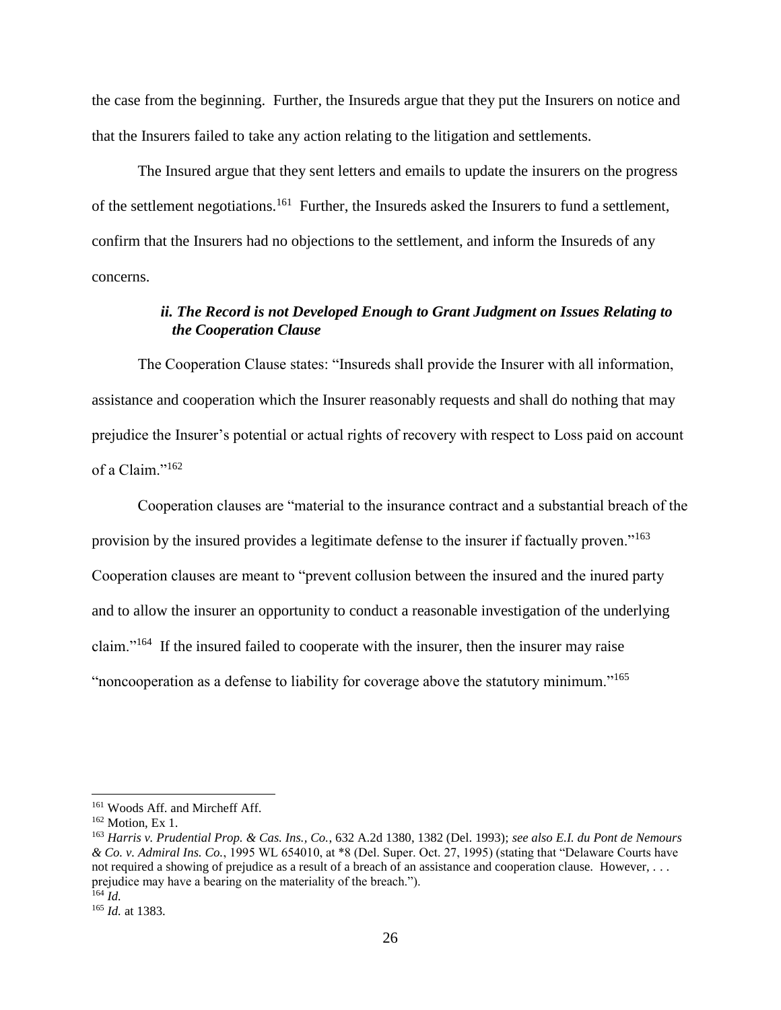the case from the beginning. Further, the Insureds argue that they put the Insurers on notice and that the Insurers failed to take any action relating to the litigation and settlements.

The Insured argue that they sent letters and emails to update the insurers on the progress of the settlement negotiations.<sup>161</sup> Further, the Insureds asked the Insurers to fund a settlement, confirm that the Insurers had no objections to the settlement, and inform the Insureds of any concerns.

## *ii. The Record is not Developed Enough to Grant Judgment on Issues Relating to the Cooperation Clause*

The Cooperation Clause states: "Insureds shall provide the Insurer with all information, assistance and cooperation which the Insurer reasonably requests and shall do nothing that may prejudice the Insurer's potential or actual rights of recovery with respect to Loss paid on account of a Claim."<sup>162</sup>

Cooperation clauses are "material to the insurance contract and a substantial breach of the provision by the insured provides a legitimate defense to the insurer if factually proven."<sup>163</sup> Cooperation clauses are meant to "prevent collusion between the insured and the inured party and to allow the insurer an opportunity to conduct a reasonable investigation of the underlying claim."<sup>164</sup> If the insured failed to cooperate with the insurer, then the insurer may raise "noncooperation as a defense to liability for coverage above the statutory minimum."<sup>165</sup>

<sup>161</sup> Woods Aff. and Mircheff Aff.

 $162$  Motion, Ex 1.

<sup>163</sup> *Harris v. Prudential Prop. & Cas. Ins., Co.*, 632 A.2d 1380, 1382 (Del. 1993); *see also E.I. du Pont de Nemours & Co. v. Admiral Ins. Co.*, 1995 WL 654010, at \*8 (Del. Super. Oct. 27, 1995) (stating that "Delaware Courts have not required a showing of prejudice as a result of a breach of an assistance and cooperation clause. However, . . . prejudice may have a bearing on the materiality of the breach.").  $164$  *Id.* 

<sup>165</sup> *Id.* at 1383.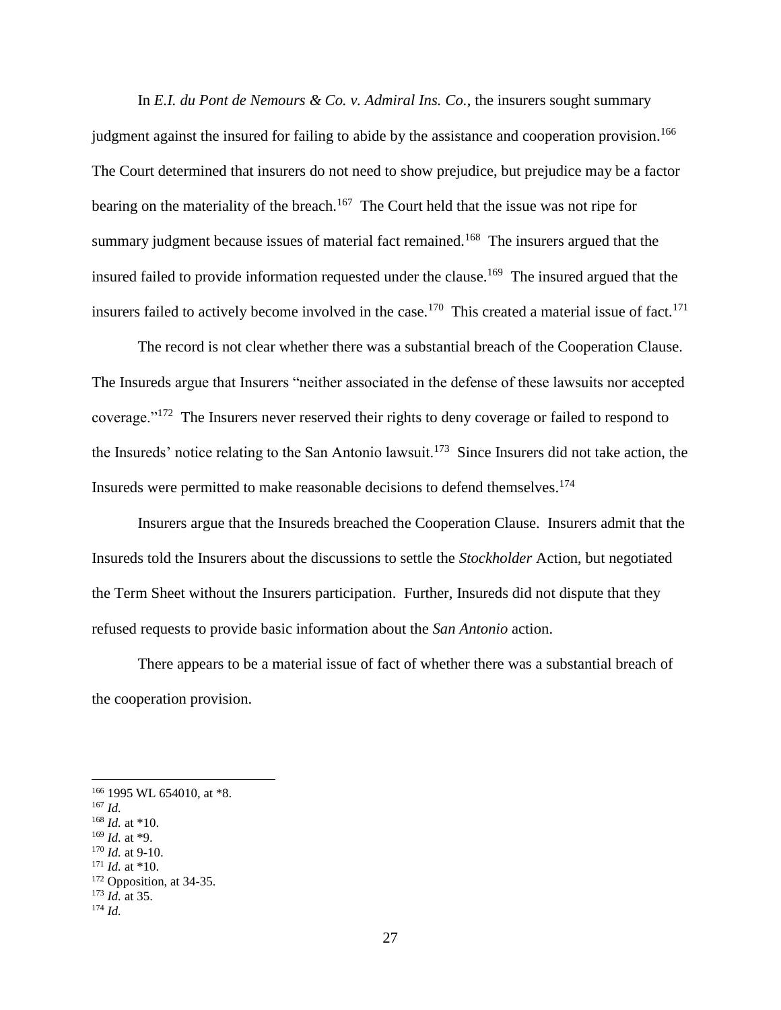In *E.I. du Pont de Nemours & Co. v. Admiral Ins. Co.*, the insurers sought summary judgment against the insured for failing to abide by the assistance and cooperation provision.<sup>166</sup> The Court determined that insurers do not need to show prejudice, but prejudice may be a factor bearing on the materiality of the breach.<sup>167</sup> The Court held that the issue was not ripe for summary judgment because issues of material fact remained.<sup>168</sup> The insurers argued that the insured failed to provide information requested under the clause.<sup>169</sup> The insured argued that the insurers failed to actively become involved in the case.<sup>170</sup> This created a material issue of fact.<sup>171</sup>

The record is not clear whether there was a substantial breach of the Cooperation Clause. The Insureds argue that Insurers "neither associated in the defense of these lawsuits nor accepted coverage."<sup>172</sup> The Insurers never reserved their rights to deny coverage or failed to respond to the Insureds' notice relating to the San Antonio lawsuit.<sup>173</sup> Since Insurers did not take action, the Insureds were permitted to make reasonable decisions to defend themselves.<sup>174</sup>

Insurers argue that the Insureds breached the Cooperation Clause. Insurers admit that the Insureds told the Insurers about the discussions to settle the *Stockholder* Action, but negotiated the Term Sheet without the Insurers participation. Further, Insureds did not dispute that they refused requests to provide basic information about the *San Antonio* action.

There appears to be a material issue of fact of whether there was a substantial breach of the cooperation provision.

<sup>167</sup> *Id.*

- <sup>168</sup> *Id.* at \*10.
- <sup>169</sup> *Id.* at \*9. <sup>170</sup> *Id.* at 9-10.
- $171$  *Id.* at \*10.
- $172$  Opposition, at 34-35.
- <sup>173</sup> *Id.* at 35.

<sup>166</sup> 1995 WL 654010, at \*8.

<sup>174</sup> *Id.*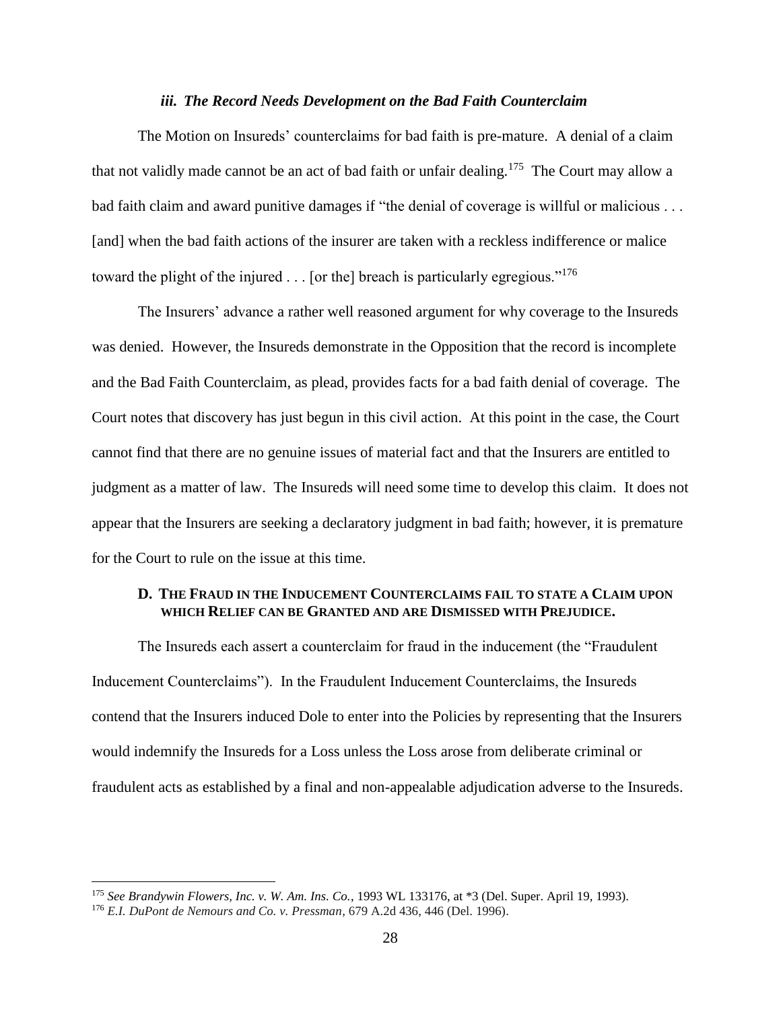#### *iii. The Record Needs Development on the Bad Faith Counterclaim*

The Motion on Insureds' counterclaims for bad faith is pre-mature. A denial of a claim that not validly made cannot be an act of bad faith or unfair dealing.<sup>175</sup> The Court may allow a bad faith claim and award punitive damages if "the denial of coverage is willful or malicious . . . [and] when the bad faith actions of the insurer are taken with a reckless indifference or malice toward the plight of the injured . . . [or the] breach is particularly egregious."<sup>176</sup>

The Insurers' advance a rather well reasoned argument for why coverage to the Insureds was denied. However, the Insureds demonstrate in the Opposition that the record is incomplete and the Bad Faith Counterclaim, as plead, provides facts for a bad faith denial of coverage. The Court notes that discovery has just begun in this civil action. At this point in the case, the Court cannot find that there are no genuine issues of material fact and that the Insurers are entitled to judgment as a matter of law. The Insureds will need some time to develop this claim. It does not appear that the Insurers are seeking a declaratory judgment in bad faith; however, it is premature for the Court to rule on the issue at this time.

### **D. THE FRAUD IN THE INDUCEMENT COUNTERCLAIMS FAIL TO STATE A CLAIM UPON WHICH RELIEF CAN BE GRANTED AND ARE DISMISSED WITH PREJUDICE.**

The Insureds each assert a counterclaim for fraud in the inducement (the "Fraudulent Inducement Counterclaims"). In the Fraudulent Inducement Counterclaims, the Insureds contend that the Insurers induced Dole to enter into the Policies by representing that the Insurers would indemnify the Insureds for a Loss unless the Loss arose from deliberate criminal or fraudulent acts as established by a final and non-appealable adjudication adverse to the Insureds.

<sup>175</sup> *See Brandywin Flowers, Inc. v. W. Am. Ins. Co.*, 1993 WL 133176, at \*3 (Del. Super. April 19, 1993).

<sup>176</sup> *E.I. DuPont de Nemours and Co. v. Pressman*, 679 A.2d 436, 446 (Del. 1996).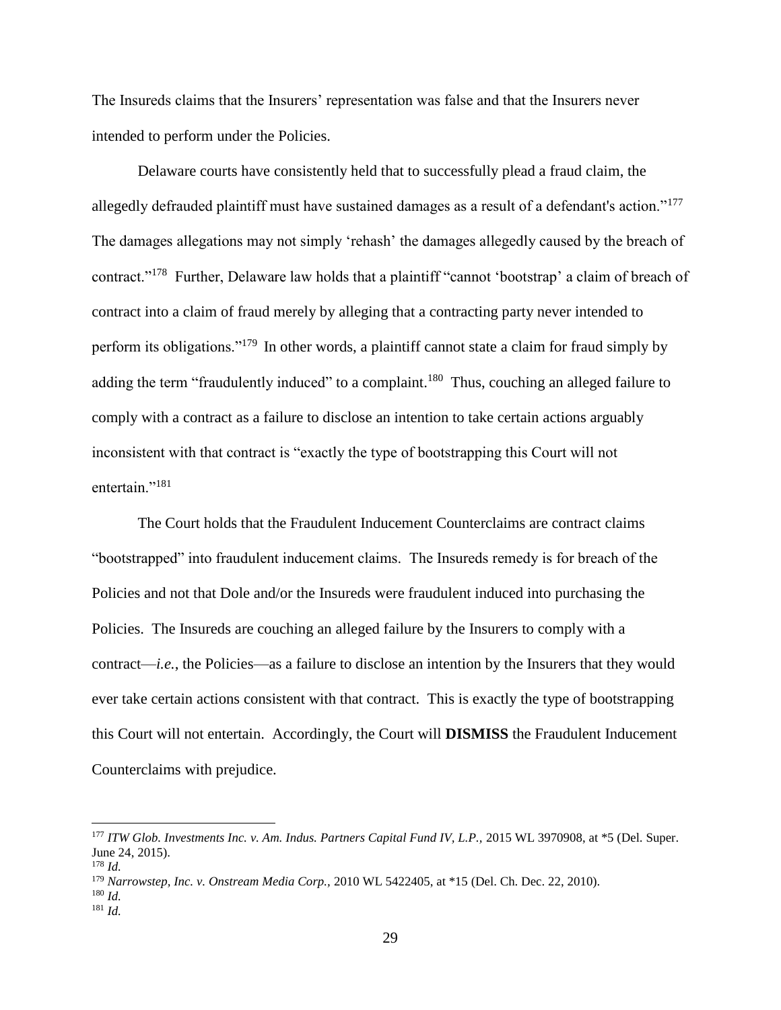The Insureds claims that the Insurers' representation was false and that the Insurers never intended to perform under the Policies.

Delaware courts have consistently held that to successfully plead a fraud claim, the allegedly defrauded plaintiff must have sustained damages as a result of a defendant's action."<sup>177</sup> The damages allegations may not simply 'rehash' the damages allegedly caused by the breach of contract."<sup>178</sup> Further, Delaware law holds that a plaintiff "cannot 'bootstrap' a claim of breach of contract into a claim of fraud merely by alleging that a contracting party never intended to perform its obligations."<sup>179</sup> In other words, a plaintiff cannot state a claim for fraud simply by adding the term "fraudulently induced" to a complaint.<sup>180</sup> Thus, couching an alleged failure to comply with a contract as a failure to disclose an intention to take certain actions arguably inconsistent with that contract is "exactly the type of bootstrapping this Court will not entertain."<sup>181</sup>

The Court holds that the Fraudulent Inducement Counterclaims are contract claims "bootstrapped" into fraudulent inducement claims. The Insureds remedy is for breach of the Policies and not that Dole and/or the Insureds were fraudulent induced into purchasing the Policies. The Insureds are couching an alleged failure by the Insurers to comply with a contract—*i.e.*, the Policies—as a failure to disclose an intention by the Insurers that they would ever take certain actions consistent with that contract. This is exactly the type of bootstrapping this Court will not entertain. Accordingly, the Court will **DISMISS** the Fraudulent Inducement Counterclaims with prejudice.

l

<sup>177</sup> *ITW Glob. Investments Inc. v. Am. Indus. Partners Capital Fund IV, L.P.,* 2015 WL 3970908, at \*5 (Del. Super. June 24, 2015).

<sup>178</sup> *Id.*

<sup>179</sup> *Narrowstep, Inc. v. Onstream Media Corp.,* 2010 WL 5422405, at \*15 (Del. Ch. Dec. 22, 2010).

<sup>180</sup> *Id.*

<sup>181</sup> *Id.*